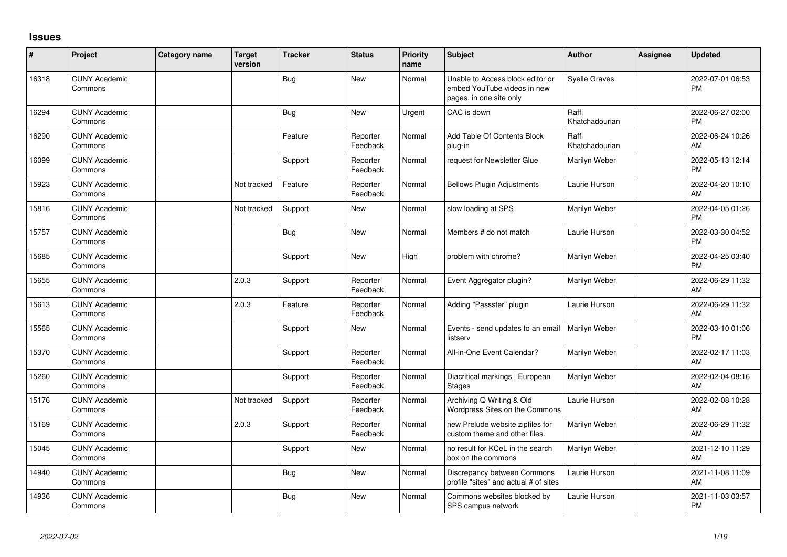## **Issues**

| $\#$  | Project                         | Category name | <b>Target</b><br>version | <b>Tracker</b> | <b>Status</b>        | <b>Priority</b><br>name | <b>Subject</b>                                                                             | <b>Author</b>           | <b>Assignee</b> | <b>Updated</b>                |
|-------|---------------------------------|---------------|--------------------------|----------------|----------------------|-------------------------|--------------------------------------------------------------------------------------------|-------------------------|-----------------|-------------------------------|
| 16318 | <b>CUNY Academic</b><br>Commons |               |                          | Bug            | <b>New</b>           | Normal                  | Unable to Access block editor or<br>embed YouTube videos in new<br>pages, in one site only | <b>Syelle Graves</b>    |                 | 2022-07-01 06:53<br><b>PM</b> |
| 16294 | <b>CUNY Academic</b><br>Commons |               |                          | Bug            | <b>New</b>           | Urgent                  | CAC is down                                                                                | Raffi<br>Khatchadourian |                 | 2022-06-27 02:00<br><b>PM</b> |
| 16290 | <b>CUNY Academic</b><br>Commons |               |                          | Feature        | Reporter<br>Feedback | Normal                  | Add Table Of Contents Block<br>plug-in                                                     | Raffi<br>Khatchadourian |                 | 2022-06-24 10:26<br><b>AM</b> |
| 16099 | <b>CUNY Academic</b><br>Commons |               |                          | Support        | Reporter<br>Feedback | Normal                  | request for Newsletter Glue                                                                | Marilyn Weber           |                 | 2022-05-13 12:14<br><b>PM</b> |
| 15923 | <b>CUNY Academic</b><br>Commons |               | Not tracked              | Feature        | Reporter<br>Feedback | Normal                  | <b>Bellows Plugin Adjustments</b>                                                          | Laurie Hurson           |                 | 2022-04-20 10:10<br><b>AM</b> |
| 15816 | <b>CUNY Academic</b><br>Commons |               | Not tracked              | Support        | New                  | Normal                  | slow loading at SPS                                                                        | Marilyn Weber           |                 | 2022-04-05 01:26<br><b>PM</b> |
| 15757 | <b>CUNY Academic</b><br>Commons |               |                          | <b>Bug</b>     | <b>New</b>           | Normal                  | Members # do not match                                                                     | Laurie Hurson           |                 | 2022-03-30 04:52<br><b>PM</b> |
| 15685 | <b>CUNY Academic</b><br>Commons |               |                          | Support        | <b>New</b>           | High                    | problem with chrome?                                                                       | Marilyn Weber           |                 | 2022-04-25 03:40<br><b>PM</b> |
| 15655 | <b>CUNY Academic</b><br>Commons |               | 2.0.3                    | Support        | Reporter<br>Feedback | Normal                  | Event Aggregator plugin?                                                                   | Marilyn Weber           |                 | 2022-06-29 11:32<br>AM        |
| 15613 | <b>CUNY Academic</b><br>Commons |               | 2.0.3                    | Feature        | Reporter<br>Feedback | Normal                  | Adding "Passster" plugin                                                                   | Laurie Hurson           |                 | 2022-06-29 11:32<br>AM        |
| 15565 | <b>CUNY Academic</b><br>Commons |               |                          | Support        | <b>New</b>           | Normal                  | Events - send updates to an email<br>listserv                                              | Marilyn Weber           |                 | 2022-03-10 01:06<br><b>PM</b> |
| 15370 | <b>CUNY Academic</b><br>Commons |               |                          | Support        | Reporter<br>Feedback | Normal                  | All-in-One Event Calendar?                                                                 | Marilyn Weber           |                 | 2022-02-17 11:03<br><b>AM</b> |
| 15260 | <b>CUNY Academic</b><br>Commons |               |                          | Support        | Reporter<br>Feedback | Normal                  | Diacritical markings   European<br><b>Stages</b>                                           | Marilyn Weber           |                 | 2022-02-04 08:16<br>AM        |
| 15176 | <b>CUNY Academic</b><br>Commons |               | Not tracked              | Support        | Reporter<br>Feedback | Normal                  | Archiving Q Writing & Old<br>Wordpress Sites on the Commons                                | Laurie Hurson           |                 | 2022-02-08 10:28<br>AM        |
| 15169 | <b>CUNY Academic</b><br>Commons |               | 2.0.3                    | Support        | Reporter<br>Feedback | Normal                  | new Prelude website zipfiles for<br>custom theme and other files.                          | Marilyn Weber           |                 | 2022-06-29 11:32<br>AM        |
| 15045 | <b>CUNY Academic</b><br>Commons |               |                          | Support        | <b>New</b>           | Normal                  | no result for KCeL in the search<br>box on the commons                                     | Marilyn Weber           |                 | 2021-12-10 11:29<br><b>AM</b> |
| 14940 | <b>CUNY Academic</b><br>Commons |               |                          | Bug            | <b>New</b>           | Normal                  | Discrepancy between Commons<br>profile "sites" and actual # of sites                       | Laurie Hurson           |                 | 2021-11-08 11:09<br>AM        |
| 14936 | <b>CUNY Academic</b><br>Commons |               |                          | Bug            | New                  | Normal                  | Commons websites blocked by<br>SPS campus network                                          | Laurie Hurson           |                 | 2021-11-03 03:57<br><b>PM</b> |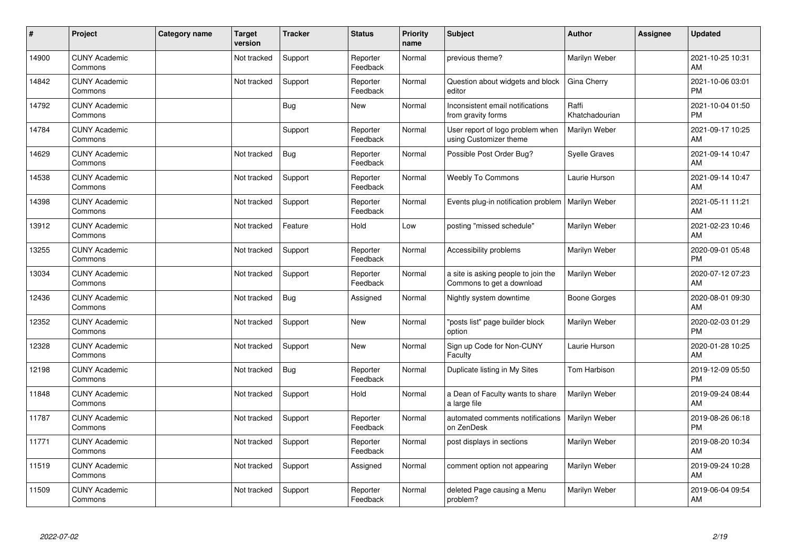| ∦     | Project                         | <b>Category name</b> | <b>Target</b><br>version | <b>Tracker</b> | <b>Status</b>        | <b>Priority</b><br>name | <b>Subject</b>                                                   | <b>Author</b>           | <b>Assignee</b> | <b>Updated</b>                |
|-------|---------------------------------|----------------------|--------------------------|----------------|----------------------|-------------------------|------------------------------------------------------------------|-------------------------|-----------------|-------------------------------|
| 14900 | <b>CUNY Academic</b><br>Commons |                      | Not tracked              | Support        | Reporter<br>Feedback | Normal                  | previous theme?                                                  | Marilyn Weber           |                 | 2021-10-25 10:31<br>AM        |
| 14842 | <b>CUNY Academic</b><br>Commons |                      | Not tracked              | Support        | Reporter<br>Feedback | Normal                  | Question about widgets and block<br>editor                       | Gina Cherry             |                 | 2021-10-06 03:01<br><b>PM</b> |
| 14792 | <b>CUNY Academic</b><br>Commons |                      |                          | <b>Bug</b>     | <b>New</b>           | Normal                  | Inconsistent email notifications<br>from gravity forms           | Raffi<br>Khatchadourian |                 | 2021-10-04 01:50<br><b>PM</b> |
| 14784 | <b>CUNY Academic</b><br>Commons |                      |                          | Support        | Reporter<br>Feedback | Normal                  | User report of logo problem when<br>using Customizer theme       | Marilyn Weber           |                 | 2021-09-17 10:25<br>AM        |
| 14629 | <b>CUNY Academic</b><br>Commons |                      | Not tracked              | Bug            | Reporter<br>Feedback | Normal                  | Possible Post Order Bug?                                         | <b>Syelle Graves</b>    |                 | 2021-09-14 10:47<br><b>AM</b> |
| 14538 | <b>CUNY Academic</b><br>Commons |                      | Not tracked              | Support        | Reporter<br>Feedback | Normal                  | <b>Weebly To Commons</b>                                         | Laurie Hurson           |                 | 2021-09-14 10:47<br>AM        |
| 14398 | <b>CUNY Academic</b><br>Commons |                      | Not tracked              | Support        | Reporter<br>Feedback | Normal                  | Events plug-in notification problem                              | <b>Marilyn Weber</b>    |                 | 2021-05-11 11:21<br>AM        |
| 13912 | <b>CUNY Academic</b><br>Commons |                      | Not tracked              | Feature        | Hold                 | Low                     | posting "missed schedule"                                        | Marilyn Weber           |                 | 2021-02-23 10:46<br>AM        |
| 13255 | <b>CUNY Academic</b><br>Commons |                      | Not tracked              | Support        | Reporter<br>Feedback | Normal                  | Accessibility problems                                           | Marilyn Weber           |                 | 2020-09-01 05:48<br><b>PM</b> |
| 13034 | <b>CUNY Academic</b><br>Commons |                      | Not tracked              | Support        | Reporter<br>Feedback | Normal                  | a site is asking people to join the<br>Commons to get a download | Marilyn Weber           |                 | 2020-07-12 07:23<br>AM        |
| 12436 | <b>CUNY Academic</b><br>Commons |                      | Not tracked              | <b>Bug</b>     | Assigned             | Normal                  | Nightly system downtime                                          | Boone Gorges            |                 | 2020-08-01 09:30<br>AM        |
| 12352 | <b>CUNY Academic</b><br>Commons |                      | Not tracked              | Support        | <b>New</b>           | Normal                  | "posts list" page builder block<br>option                        | Marilyn Weber           |                 | 2020-02-03 01:29<br><b>PM</b> |
| 12328 | <b>CUNY Academic</b><br>Commons |                      | Not tracked              | Support        | <b>New</b>           | Normal                  | Sign up Code for Non-CUNY<br>Faculty                             | Laurie Hurson           |                 | 2020-01-28 10:25<br>AM        |
| 12198 | <b>CUNY Academic</b><br>Commons |                      | Not tracked              | <b>Bug</b>     | Reporter<br>Feedback | Normal                  | Duplicate listing in My Sites                                    | Tom Harbison            |                 | 2019-12-09 05:50<br><b>PM</b> |
| 11848 | <b>CUNY Academic</b><br>Commons |                      | Not tracked              | Support        | Hold                 | Normal                  | a Dean of Faculty wants to share<br>a large file                 | Marilyn Weber           |                 | 2019-09-24 08:44<br>AM        |
| 11787 | <b>CUNY Academic</b><br>Commons |                      | Not tracked              | Support        | Reporter<br>Feedback | Normal                  | automated comments notifications<br>on ZenDesk                   | Marilyn Weber           |                 | 2019-08-26 06:18<br><b>PM</b> |
| 11771 | <b>CUNY Academic</b><br>Commons |                      | Not tracked              | Support        | Reporter<br>Feedback | Normal                  | post displays in sections                                        | Marilyn Weber           |                 | 2019-08-20 10:34<br>AM        |
| 11519 | <b>CUNY Academic</b><br>Commons |                      | Not tracked              | Support        | Assigned             | Normal                  | comment option not appearing                                     | Marilyn Weber           |                 | 2019-09-24 10:28<br>AM        |
| 11509 | <b>CUNY Academic</b><br>Commons |                      | Not tracked              | Support        | Reporter<br>Feedback | Normal                  | deleted Page causing a Menu<br>problem?                          | Marilyn Weber           |                 | 2019-06-04 09:54<br>AM        |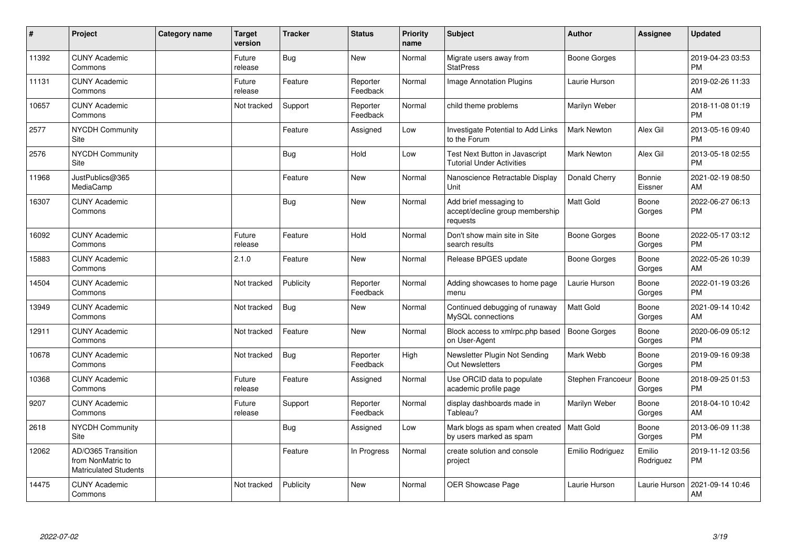| #     | Project                                                                 | Category name | <b>Target</b><br>version | <b>Tracker</b> | <b>Status</b>        | <b>Priority</b><br>name | <b>Subject</b>                                                        | Author              | <b>Assignee</b>     | <b>Updated</b>                |
|-------|-------------------------------------------------------------------------|---------------|--------------------------|----------------|----------------------|-------------------------|-----------------------------------------------------------------------|---------------------|---------------------|-------------------------------|
| 11392 | <b>CUNY Academic</b><br>Commons                                         |               | Future<br>release        | Bug            | <b>New</b>           | Normal                  | Migrate users away from<br><b>StatPress</b>                           | Boone Gorges        |                     | 2019-04-23 03:53<br><b>PM</b> |
| 11131 | <b>CUNY Academic</b><br>Commons                                         |               | Future<br>release        | Feature        | Reporter<br>Feedback | Normal                  | <b>Image Annotation Plugins</b>                                       | Laurie Hurson       |                     | 2019-02-26 11:33<br>AM        |
| 10657 | <b>CUNY Academic</b><br>Commons                                         |               | Not tracked              | Support        | Reporter<br>Feedback | Normal                  | child theme problems                                                  | Marilyn Weber       |                     | 2018-11-08 01:19<br><b>PM</b> |
| 2577  | <b>NYCDH Community</b><br>Site                                          |               |                          | Feature        | Assigned             | Low                     | Investigate Potential to Add Links<br>to the Forum                    | Mark Newton         | Alex Gil            | 2013-05-16 09:40<br><b>PM</b> |
| 2576  | <b>NYCDH Community</b><br>Site                                          |               |                          | Bug            | Hold                 | Low                     | Test Next Button in Javascript<br><b>Tutorial Under Activities</b>    | <b>Mark Newton</b>  | Alex Gil            | 2013-05-18 02:55<br><b>PM</b> |
| 11968 | JustPublics@365<br>MediaCamp                                            |               |                          | Feature        | <b>New</b>           | Normal                  | Nanoscience Retractable Display<br>Unit                               | Donald Cherry       | Bonnie<br>Eissner   | 2021-02-19 08:50<br>AM        |
| 16307 | <b>CUNY Academic</b><br>Commons                                         |               |                          | <b>Bug</b>     | <b>New</b>           | Normal                  | Add brief messaging to<br>accept/decline group membership<br>requests | <b>Matt Gold</b>    | Boone<br>Gorges     | 2022-06-27 06:13<br><b>PM</b> |
| 16092 | <b>CUNY Academic</b><br>Commons                                         |               | Future<br>release        | Feature        | Hold                 | Normal                  | Don't show main site in Site<br>search results                        | Boone Gorges        | Boone<br>Gorges     | 2022-05-17 03:12<br><b>PM</b> |
| 15883 | <b>CUNY Academic</b><br>Commons                                         |               | 2.1.0                    | Feature        | <b>New</b>           | Normal                  | Release BPGES update                                                  | Boone Gorges        | Boone<br>Gorges     | 2022-05-26 10:39<br>AM        |
| 14504 | <b>CUNY Academic</b><br>Commons                                         |               | Not tracked              | Publicity      | Reporter<br>Feedback | Normal                  | Adding showcases to home page<br>menu                                 | Laurie Hurson       | Boone<br>Gorges     | 2022-01-19 03:26<br><b>PM</b> |
| 13949 | <b>CUNY Academic</b><br>Commons                                         |               | Not tracked              | <b>Bug</b>     | New                  | Normal                  | Continued debugging of runaway<br>MySQL connections                   | Matt Gold           | Boone<br>Gorges     | 2021-09-14 10:42<br>AM        |
| 12911 | <b>CUNY Academic</b><br>Commons                                         |               | Not tracked              | Feature        | <b>New</b>           | Normal                  | Block access to xmlrpc.php based<br>on User-Agent                     | <b>Boone Gorges</b> | Boone<br>Gorges     | 2020-06-09 05:12<br><b>PM</b> |
| 10678 | <b>CUNY Academic</b><br>Commons                                         |               | Not tracked              | Bug            | Reporter<br>Feedback | High                    | Newsletter Plugin Not Sending<br><b>Out Newsletters</b>               | Mark Webb           | Boone<br>Gorges     | 2019-09-16 09:38<br><b>PM</b> |
| 10368 | <b>CUNY Academic</b><br>Commons                                         |               | Future<br>release        | Feature        | Assigned             | Normal                  | Use ORCID data to populate<br>academic profile page                   | Stephen Francoeu    | Boone<br>Gorges     | 2018-09-25 01:53<br><b>PM</b> |
| 9207  | <b>CUNY Academic</b><br>Commons                                         |               | Future<br>release        | Support        | Reporter<br>Feedback | Normal                  | display dashboards made in<br>Tableau?                                | Marilyn Weber       | Boone<br>Gorges     | 2018-04-10 10:42<br>AM        |
| 2618  | <b>NYCDH Community</b><br>Site                                          |               |                          | <b>Bug</b>     | Assigned             | Low                     | Mark blogs as spam when created<br>by users marked as spam            | Matt Gold           | Boone<br>Gorges     | 2013-06-09 11:38<br><b>PM</b> |
| 12062 | AD/O365 Transition<br>from NonMatric to<br><b>Matriculated Students</b> |               |                          | Feature        | In Progress          | Normal                  | create solution and console<br>project                                | Emilio Rodriguez    | Emilio<br>Rodriguez | 2019-11-12 03:56<br><b>PM</b> |
| 14475 | <b>CUNY Academic</b><br>Commons                                         |               | Not tracked              | Publicity      | <b>New</b>           | Normal                  | OER Showcase Page                                                     | Laurie Hurson       | Laurie Hurson       | 2021-09-14 10:46<br>AM        |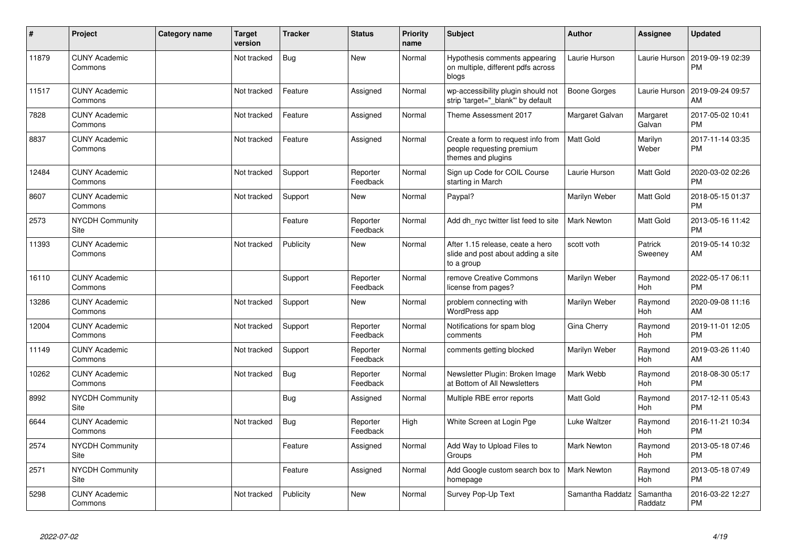| #     | Project                         | Category name | <b>Target</b><br>version | <b>Tracker</b> | <b>Status</b>        | <b>Priority</b><br>name | <b>Subject</b>                                                                        | Author              | Assignee              | <b>Updated</b>                |
|-------|---------------------------------|---------------|--------------------------|----------------|----------------------|-------------------------|---------------------------------------------------------------------------------------|---------------------|-----------------------|-------------------------------|
| 11879 | <b>CUNY Academic</b><br>Commons |               | Not tracked              | Bug            | <b>New</b>           | Normal                  | Hypothesis comments appearing<br>on multiple, different pdfs across<br>blogs          | Laurie Hurson       | Laurie Hurson         | 2019-09-19 02:39<br><b>PM</b> |
| 11517 | <b>CUNY Academic</b><br>Commons |               | Not tracked              | Feature        | Assigned             | Normal                  | wp-accessibility plugin should not<br>strip 'target=" blank" by default               | <b>Boone Gorges</b> | Laurie Hurson         | 2019-09-24 09:57<br>AM        |
| 7828  | <b>CUNY Academic</b><br>Commons |               | Not tracked              | Feature        | Assigned             | Normal                  | Theme Assessment 2017                                                                 | Margaret Galvan     | Margaret<br>Galvan    | 2017-05-02 10:41<br><b>PM</b> |
| 8837  | <b>CUNY Academic</b><br>Commons |               | Not tracked              | Feature        | Assigned             | Normal                  | Create a form to request info from<br>people requesting premium<br>themes and plugins | <b>Matt Gold</b>    | Marilyn<br>Weber      | 2017-11-14 03:35<br><b>PM</b> |
| 12484 | <b>CUNY Academic</b><br>Commons |               | Not tracked              | Support        | Reporter<br>Feedback | Normal                  | Sign up Code for COIL Course<br>starting in March                                     | Laurie Hurson       | Matt Gold             | 2020-03-02 02:26<br><b>PM</b> |
| 8607  | <b>CUNY Academic</b><br>Commons |               | Not tracked              | Support        | <b>New</b>           | Normal                  | Paypal?                                                                               | Marilyn Weber       | <b>Matt Gold</b>      | 2018-05-15 01:37<br><b>PM</b> |
| 2573  | <b>NYCDH Community</b><br>Site  |               |                          | Feature        | Reporter<br>Feedback | Normal                  | Add dh nyc twitter list feed to site                                                  | Mark Newton         | <b>Matt Gold</b>      | 2013-05-16 11:42<br><b>PM</b> |
| 11393 | <b>CUNY Academic</b><br>Commons |               | Not tracked              | Publicity      | New                  | Normal                  | After 1.15 release, ceate a hero<br>slide and post about adding a site<br>to a group  | scott voth          | Patrick<br>Sweeney    | 2019-05-14 10:32<br>AM        |
| 16110 | <b>CUNY Academic</b><br>Commons |               |                          | Support        | Reporter<br>Feedback | Normal                  | remove Creative Commons<br>license from pages?                                        | Marilyn Weber       | Raymond<br><b>Hoh</b> | 2022-05-17 06:11<br><b>PM</b> |
| 13286 | <b>CUNY Academic</b><br>Commons |               | Not tracked              | Support        | <b>New</b>           | Normal                  | problem connecting with<br>WordPress app                                              | Marilyn Weber       | Raymond<br>Hoh        | 2020-09-08 11:16<br>AM        |
| 12004 | <b>CUNY Academic</b><br>Commons |               | Not tracked              | Support        | Reporter<br>Feedback | Normal                  | Notifications for spam blog<br>comments                                               | Gina Cherry         | Raymond<br>Hoh        | 2019-11-01 12:05<br><b>PM</b> |
| 11149 | <b>CUNY Academic</b><br>Commons |               | Not tracked              | Support        | Reporter<br>Feedback | Normal                  | comments getting blocked                                                              | Marilyn Weber       | Raymond<br><b>Hoh</b> | 2019-03-26 11:40<br>AM        |
| 10262 | <b>CUNY Academic</b><br>Commons |               | Not tracked              | <b>Bug</b>     | Reporter<br>Feedback | Normal                  | Newsletter Plugin: Broken Image<br>at Bottom of All Newsletters                       | Mark Webb           | Raymond<br>Hoh        | 2018-08-30 05:17<br><b>PM</b> |
| 8992  | <b>NYCDH Community</b><br>Site  |               |                          | Bug            | Assigned             | Normal                  | Multiple RBE error reports                                                            | Matt Gold           | Raymond<br><b>Hoh</b> | 2017-12-11 05:43<br><b>PM</b> |
| 6644  | <b>CUNY Academic</b><br>Commons |               | Not tracked              | Bug            | Reporter<br>Feedback | High                    | White Screen at Login Pge                                                             | Luke Waltzer        | Raymond<br><b>Hoh</b> | 2016-11-21 10:34<br><b>PM</b> |
| 2574  | <b>NYCDH Community</b><br>Site  |               |                          | Feature        | Assigned             | Normal                  | Add Way to Upload Files to<br>Groups                                                  | <b>Mark Newton</b>  | Raymond<br><b>Hoh</b> | 2013-05-18 07:46<br><b>PM</b> |
| 2571  | NYCDH Community<br>Site         |               |                          | Feature        | Assigned             | Normal                  | Add Google custom search box to<br>homepage                                           | Mark Newton         | Raymond<br>Hoh        | 2013-05-18 07:49<br><b>PM</b> |
| 5298  | <b>CUNY Academic</b><br>Commons |               | Not tracked              | Publicity      | New                  | Normal                  | Survey Pop-Up Text                                                                    | Samantha Raddatz    | Samantha<br>Raddatz   | 2016-03-22 12:27<br>PM        |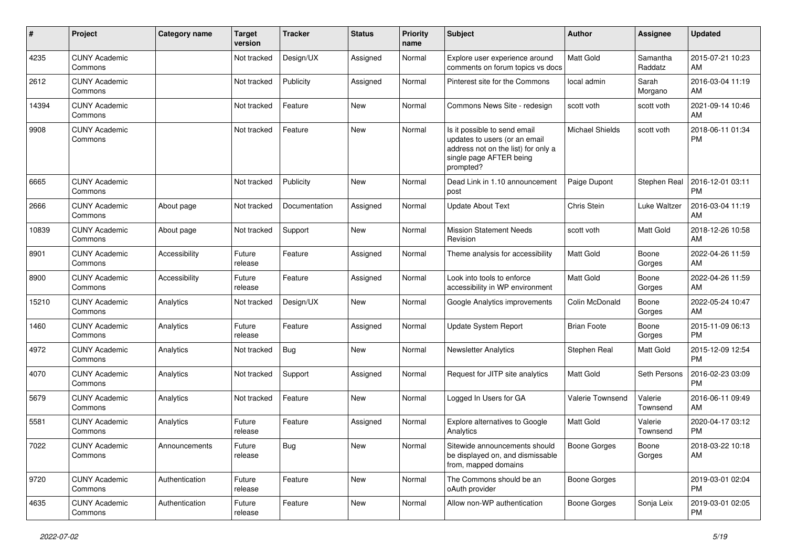| #     | Project                         | Category name  | <b>Target</b><br>version | <b>Tracker</b> | <b>Status</b> | <b>Priority</b><br>name | <b>Subject</b>                                                                                                                               | Author                 | Assignee            | <b>Updated</b>                |
|-------|---------------------------------|----------------|--------------------------|----------------|---------------|-------------------------|----------------------------------------------------------------------------------------------------------------------------------------------|------------------------|---------------------|-------------------------------|
| 4235  | <b>CUNY Academic</b><br>Commons |                | Not tracked              | Design/UX      | Assigned      | Normal                  | Explore user experience around<br>comments on forum topics vs docs                                                                           | Matt Gold              | Samantha<br>Raddatz | 2015-07-21 10:23<br>AM        |
| 2612  | <b>CUNY Academic</b><br>Commons |                | Not tracked              | Publicity      | Assigned      | Normal                  | Pinterest site for the Commons                                                                                                               | local admin            | Sarah<br>Morgano    | 2016-03-04 11:19<br>AM        |
| 14394 | <b>CUNY Academic</b><br>Commons |                | Not tracked              | Feature        | New           | Normal                  | Commons News Site - redesign                                                                                                                 | scott voth             | scott voth          | 2021-09-14 10:46<br>AM        |
| 9908  | <b>CUNY Academic</b><br>Commons |                | Not tracked              | Feature        | <b>New</b>    | Normal                  | Is it possible to send email<br>updates to users (or an email<br>address not on the list) for only a<br>single page AFTER being<br>prompted? | <b>Michael Shields</b> | scott voth          | 2018-06-11 01:34<br>РM        |
| 6665  | <b>CUNY Academic</b><br>Commons |                | Not tracked              | Publicity      | <b>New</b>    | Normal                  | Dead Link in 1.10 announcement<br>post                                                                                                       | Paige Dupont           | Stephen Real        | 2016-12-01 03:11<br><b>PM</b> |
| 2666  | <b>CUNY Academic</b><br>Commons | About page     | Not tracked              | Documentation  | Assigned      | Normal                  | <b>Update About Text</b>                                                                                                                     | Chris Stein            | Luke Waltzer        | 2016-03-04 11:19<br>AM        |
| 10839 | <b>CUNY Academic</b><br>Commons | About page     | Not tracked              | Support        | New           | Normal                  | <b>Mission Statement Needs</b><br>Revision                                                                                                   | scott voth             | Matt Gold           | 2018-12-26 10:58<br>AM        |
| 8901  | <b>CUNY Academic</b><br>Commons | Accessibility  | Future<br>release        | Feature        | Assigned      | Normal                  | Theme analysis for accessibility                                                                                                             | <b>Matt Gold</b>       | Boone<br>Gorges     | 2022-04-26 11:59<br>AM        |
| 8900  | <b>CUNY Academic</b><br>Commons | Accessibility  | Future<br>release        | Feature        | Assigned      | Normal                  | Look into tools to enforce<br>accessibility in WP environment                                                                                | Matt Gold              | Boone<br>Gorges     | 2022-04-26 11:59<br>AM        |
| 15210 | <b>CUNY Academic</b><br>Commons | Analytics      | Not tracked              | Design/UX      | New           | Normal                  | Google Analytics improvements                                                                                                                | Colin McDonald         | Boone<br>Gorges     | 2022-05-24 10:47<br>AM        |
| 1460  | <b>CUNY Academic</b><br>Commons | Analytics      | Future<br>release        | Feature        | Assigned      | Normal                  | <b>Update System Report</b>                                                                                                                  | <b>Brian Foote</b>     | Boone<br>Gorges     | 2015-11-09 06:13<br><b>PM</b> |
| 4972  | <b>CUNY Academic</b><br>Commons | Analytics      | Not tracked              | Bug            | New           | Normal                  | <b>Newsletter Analytics</b>                                                                                                                  | Stephen Real           | Matt Gold           | 2015-12-09 12:54<br><b>PM</b> |
| 4070  | <b>CUNY Academic</b><br>Commons | Analytics      | Not tracked              | Support        | Assigned      | Normal                  | Request for JITP site analytics                                                                                                              | Matt Gold              | Seth Persons        | 2016-02-23 03:09<br><b>PM</b> |
| 5679  | <b>CUNY Academic</b><br>Commons | Analytics      | Not tracked              | Feature        | <b>New</b>    | Normal                  | Logged In Users for GA                                                                                                                       | Valerie Townsend       | Valerie<br>Townsend | 2016-06-11 09:49<br>AM        |
| 5581  | <b>CUNY Academic</b><br>Commons | Analytics      | Future<br>release        | Feature        | Assigned      | Normal                  | Explore alternatives to Google<br>Analytics                                                                                                  | <b>Matt Gold</b>       | Valerie<br>Townsend | 2020-04-17 03:12<br><b>PM</b> |
| 7022  | <b>CUNY Academic</b><br>Commons | Announcements  | Future<br>release        | Bug            | New           | Normal                  | Sitewide announcements should<br>be displayed on, and dismissable<br>from, mapped domains                                                    | Boone Gorges           | Boone<br>Gorges     | 2018-03-22 10:18<br>AM        |
| 9720  | <b>CUNY Academic</b><br>Commons | Authentication | Future<br>release        | Feature        | New           | Normal                  | The Commons should be an<br>oAuth provider                                                                                                   | <b>Boone Gorges</b>    |                     | 2019-03-01 02:04<br>PM        |
| 4635  | <b>CUNY Academic</b><br>Commons | Authentication | Future<br>release        | Feature        | New           | Normal                  | Allow non-WP authentication                                                                                                                  | <b>Boone Gorges</b>    | Sonja Leix          | 2019-03-01 02:05<br>PM        |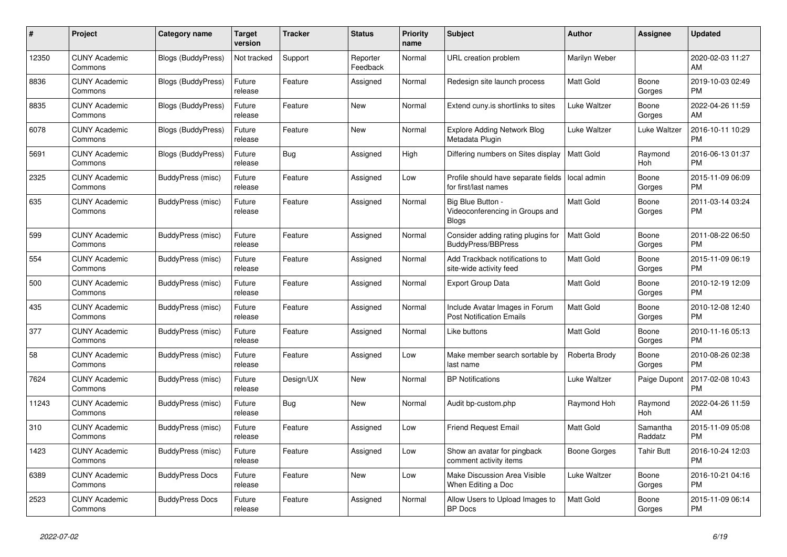| #     | Project                         | <b>Category name</b>      | <b>Target</b><br>version | <b>Tracker</b> | <b>Status</b>        | Priority<br>name | <b>Subject</b>                                                       | <b>Author</b>    | <b>Assignee</b>     | <b>Updated</b>                |
|-------|---------------------------------|---------------------------|--------------------------|----------------|----------------------|------------------|----------------------------------------------------------------------|------------------|---------------------|-------------------------------|
| 12350 | <b>CUNY Academic</b><br>Commons | <b>Blogs (BuddyPress)</b> | Not tracked              | Support        | Reporter<br>Feedback | Normal           | URL creation problem                                                 | Marilyn Weber    |                     | 2020-02-03 11:27<br>AM        |
| 8836  | <b>CUNY Academic</b><br>Commons | <b>Blogs (BuddyPress)</b> | Future<br>release        | Feature        | Assigned             | Normal           | Redesign site launch process                                         | Matt Gold        | Boone<br>Gorges     | 2019-10-03 02:49<br><b>PM</b> |
| 8835  | <b>CUNY Academic</b><br>Commons | <b>Blogs (BuddyPress)</b> | Future<br>release        | Feature        | <b>New</b>           | Normal           | Extend cuny.is shortlinks to sites                                   | Luke Waltzer     | Boone<br>Gorges     | 2022-04-26 11:59<br>AM        |
| 6078  | <b>CUNY Academic</b><br>Commons | <b>Blogs (BuddyPress)</b> | Future<br>release        | Feature        | <b>New</b>           | Normal           | <b>Explore Adding Network Blog</b><br>Metadata Plugin                | Luke Waltzer     | Luke Waltzer        | 2016-10-11 10:29<br><b>PM</b> |
| 5691  | <b>CUNY Academic</b><br>Commons | <b>Blogs (BuddyPress)</b> | Future<br>release        | Bug            | Assigned             | High             | Differing numbers on Sites display                                   | Matt Gold        | Raymond<br>Hoh      | 2016-06-13 01:37<br><b>PM</b> |
| 2325  | <b>CUNY Academic</b><br>Commons | BuddyPress (misc)         | Future<br>release        | Feature        | Assigned             | Low              | Profile should have separate fields<br>for first/last names          | local admin      | Boone<br>Gorges     | 2015-11-09 06:09<br><b>PM</b> |
| 635   | <b>CUNY Academic</b><br>Commons | BuddyPress (misc)         | Future<br>release        | Feature        | Assigned             | Normal           | Big Blue Button -<br>Videoconferencing in Groups and<br><b>Blogs</b> | <b>Matt Gold</b> | Boone<br>Gorges     | 2011-03-14 03:24<br><b>PM</b> |
| 599   | <b>CUNY Academic</b><br>Commons | BuddyPress (misc)         | Future<br>release        | Feature        | Assigned             | Normal           | Consider adding rating plugins for<br><b>BuddyPress/BBPress</b>      | Matt Gold        | Boone<br>Gorges     | 2011-08-22 06:50<br><b>PM</b> |
| 554   | <b>CUNY Academic</b><br>Commons | BuddyPress (misc)         | Future<br>release        | Feature        | Assigned             | Normal           | Add Trackback notifications to<br>site-wide activity feed            | <b>Matt Gold</b> | Boone<br>Gorges     | 2015-11-09 06:19<br><b>PM</b> |
| 500   | <b>CUNY Academic</b><br>Commons | BuddyPress (misc)         | Future<br>release        | Feature        | Assigned             | Normal           | <b>Export Group Data</b>                                             | Matt Gold        | Boone<br>Gorges     | 2010-12-19 12:09<br><b>PM</b> |
| 435   | <b>CUNY Academic</b><br>Commons | BuddyPress (misc)         | Future<br>release        | Feature        | Assigned             | Normal           | Include Avatar Images in Forum<br><b>Post Notification Emails</b>    | Matt Gold        | Boone<br>Gorges     | 2010-12-08 12:40<br><b>PM</b> |
| 377   | <b>CUNY Academic</b><br>Commons | BuddyPress (misc)         | Future<br>release        | Feature        | Assigned             | Normal           | Like buttons                                                         | Matt Gold        | Boone<br>Gorges     | 2010-11-16 05:13<br><b>PM</b> |
| 58    | <b>CUNY Academic</b><br>Commons | BuddyPress (misc)         | Future<br>release        | Feature        | Assigned             | Low              | Make member search sortable by<br>last name                          | Roberta Brody    | Boone<br>Gorges     | 2010-08-26 02:38<br><b>PM</b> |
| 7624  | <b>CUNY Academic</b><br>Commons | BuddyPress (misc)         | Future<br>release        | Design/UX      | New                  | Normal           | <b>BP Notifications</b>                                              | Luke Waltzer     | Paige Dupont        | 2017-02-08 10:43<br><b>PM</b> |
| 11243 | <b>CUNY Academic</b><br>Commons | BuddyPress (misc)         | Future<br>release        | Bug            | New                  | Normal           | Audit bp-custom.php                                                  | Raymond Hoh      | Raymond<br>Hoh      | 2022-04-26 11:59<br>AM        |
| 310   | <b>CUNY Academic</b><br>Commons | BuddyPress (misc)         | Future<br>release        | Feature        | Assigned             | Low              | <b>Friend Request Email</b>                                          | Matt Gold        | Samantha<br>Raddatz | 2015-11-09 05:08<br><b>PM</b> |
| 1423  | <b>CUNY Academic</b><br>Commons | BuddyPress (misc)         | Future<br>release        | Feature        | Assigned             | Low              | Show an avatar for pingback<br>comment activity items                | Boone Gorges     | Tahir Butt          | 2016-10-24 12:03<br><b>PM</b> |
| 6389  | <b>CUNY Academic</b><br>Commons | <b>BuddyPress Docs</b>    | Future<br>release        | Feature        | New                  | Low              | <b>Make Discussion Area Visible</b><br>When Editing a Doc            | Luke Waltzer     | Boone<br>Gorges     | 2016-10-21 04:16<br><b>PM</b> |
| 2523  | <b>CUNY Academic</b><br>Commons | <b>BuddyPress Docs</b>    | Future<br>release        | Feature        | Assigned             | Normal           | Allow Users to Upload Images to<br><b>BP</b> Docs                    | <b>Matt Gold</b> | Boone<br>Gorges     | 2015-11-09 06:14<br><b>PM</b> |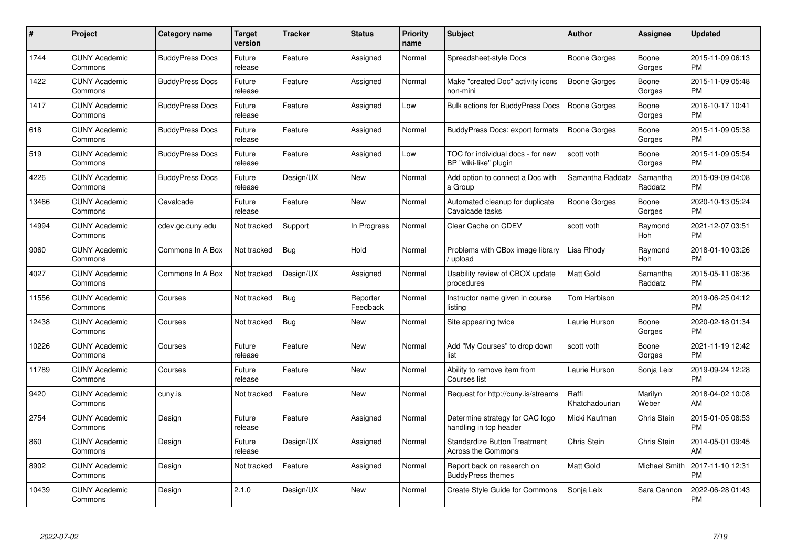| $\#$  | Project                         | <b>Category name</b>   | <b>Target</b><br>version | <b>Tracker</b> | <b>Status</b>        | Priority<br>name | <b>Subject</b>                                                   | <b>Author</b>           | <b>Assignee</b>      | <b>Updated</b>                |
|-------|---------------------------------|------------------------|--------------------------|----------------|----------------------|------------------|------------------------------------------------------------------|-------------------------|----------------------|-------------------------------|
| 1744  | <b>CUNY Academic</b><br>Commons | <b>BuddyPress Docs</b> | Future<br>release        | Feature        | Assigned             | Normal           | Spreadsheet-style Docs                                           | Boone Gorges            | Boone<br>Gorges      | 2015-11-09 06:13<br><b>PM</b> |
| 1422  | <b>CUNY Academic</b><br>Commons | <b>BuddyPress Docs</b> | Future<br>release        | Feature        | Assigned             | Normal           | Make "created Doc" activity icons<br>non-mini                    | Boone Gorges            | Boone<br>Gorges      | 2015-11-09 05:48<br><b>PM</b> |
| 1417  | <b>CUNY Academic</b><br>Commons | <b>BuddyPress Docs</b> | Future<br>release        | Feature        | Assigned             | Low              | <b>Bulk actions for BuddyPress Docs</b>                          | <b>Boone Gorges</b>     | Boone<br>Gorges      | 2016-10-17 10:41<br><b>PM</b> |
| 618   | <b>CUNY Academic</b><br>Commons | <b>BuddyPress Docs</b> | Future<br>release        | Feature        | Assigned             | Normal           | <b>BuddyPress Docs: export formats</b>                           | Boone Gorges            | Boone<br>Gorges      | 2015-11-09 05:38<br><b>PM</b> |
| 519   | <b>CUNY Academic</b><br>Commons | <b>BuddyPress Docs</b> | Future<br>release        | Feature        | Assigned             | Low              | TOC for individual docs - for new<br>BP "wiki-like" plugin       | scott voth              | Boone<br>Gorges      | 2015-11-09 05:54<br><b>PM</b> |
| 4226  | <b>CUNY Academic</b><br>Commons | <b>BuddyPress Docs</b> | Future<br>release        | Design/UX      | <b>New</b>           | Normal           | Add option to connect a Doc with<br>a Group                      | Samantha Raddatz        | Samantha<br>Raddatz  | 2015-09-09 04:08<br><b>PM</b> |
| 13466 | <b>CUNY Academic</b><br>Commons | Cavalcade              | Future<br>release        | Feature        | <b>New</b>           | Normal           | Automated cleanup for duplicate<br>Cavalcade tasks               | Boone Gorges            | Boone<br>Gorges      | 2020-10-13 05:24<br><b>PM</b> |
| 14994 | <b>CUNY Academic</b><br>Commons | cdev.gc.cuny.edu       | Not tracked              | Support        | In Progress          | Normal           | Clear Cache on CDEV                                              | scott voth              | Raymond<br>Hoh       | 2021-12-07 03:51<br><b>PM</b> |
| 9060  | <b>CUNY Academic</b><br>Commons | Commons In A Box       | Not tracked              | Bug            | Hold                 | Normal           | Problems with CBox image library<br>/ upload                     | Lisa Rhody              | Raymond<br>Hoh       | 2018-01-10 03:26<br><b>PM</b> |
| 4027  | <b>CUNY Academic</b><br>Commons | Commons In A Box       | Not tracked              | Design/UX      | Assigned             | Normal           | Usability review of CBOX update<br>procedures                    | <b>Matt Gold</b>        | Samantha<br>Raddatz  | 2015-05-11 06:36<br><b>PM</b> |
| 11556 | <b>CUNY Academic</b><br>Commons | Courses                | Not tracked              | Bug            | Reporter<br>Feedback | Normal           | Instructor name given in course<br>listing                       | Tom Harbison            |                      | 2019-06-25 04:12<br><b>PM</b> |
| 12438 | <b>CUNY Academic</b><br>Commons | Courses                | Not tracked              | Bug            | New                  | Normal           | Site appearing twice                                             | Laurie Hurson           | Boone<br>Gorges      | 2020-02-18 01:34<br><b>PM</b> |
| 10226 | <b>CUNY Academic</b><br>Commons | Courses                | Future<br>release        | Feature        | <b>New</b>           | Normal           | Add "My Courses" to drop down<br>list                            | scott voth              | Boone<br>Gorges      | 2021-11-19 12:42<br><b>PM</b> |
| 11789 | <b>CUNY Academic</b><br>Commons | Courses                | Future<br>release        | Feature        | <b>New</b>           | Normal           | Ability to remove item from<br>Courses list                      | Laurie Hurson           | Sonja Leix           | 2019-09-24 12:28<br><b>PM</b> |
| 9420  | <b>CUNY Academic</b><br>Commons | cuny.is                | Not tracked              | Feature        | <b>New</b>           | Normal           | Request for http://cuny.is/streams                               | Raffi<br>Khatchadourian | Marilyn<br>Weber     | 2018-04-02 10:08<br>AM        |
| 2754  | <b>CUNY Academic</b><br>Commons | Design                 | Future<br>release        | Feature        | Assigned             | Normal           | Determine strategy for CAC logo<br>handling in top header        | Micki Kaufman           | Chris Stein          | 2015-01-05 08:53<br><b>PM</b> |
| 860   | <b>CUNY Academic</b><br>Commons | Design                 | Future<br>release        | Design/UX      | Assigned             | Normal           | <b>Standardize Button Treatment</b><br><b>Across the Commons</b> | Chris Stein             | Chris Stein          | 2014-05-01 09:45<br>AM        |
| 8902  | <b>CUNY Academic</b><br>Commons | Design                 | Not tracked              | Feature        | Assigned             | Normal           | Report back on research on<br><b>BuddyPress themes</b>           | <b>Matt Gold</b>        | <b>Michael Smith</b> | 2017-11-10 12:31<br><b>PM</b> |
| 10439 | <b>CUNY Academic</b><br>Commons | Design                 | 2.1.0                    | Design/UX      | New                  | Normal           | Create Style Guide for Commons                                   | Sonja Leix              | Sara Cannon          | 2022-06-28 01:43<br><b>PM</b> |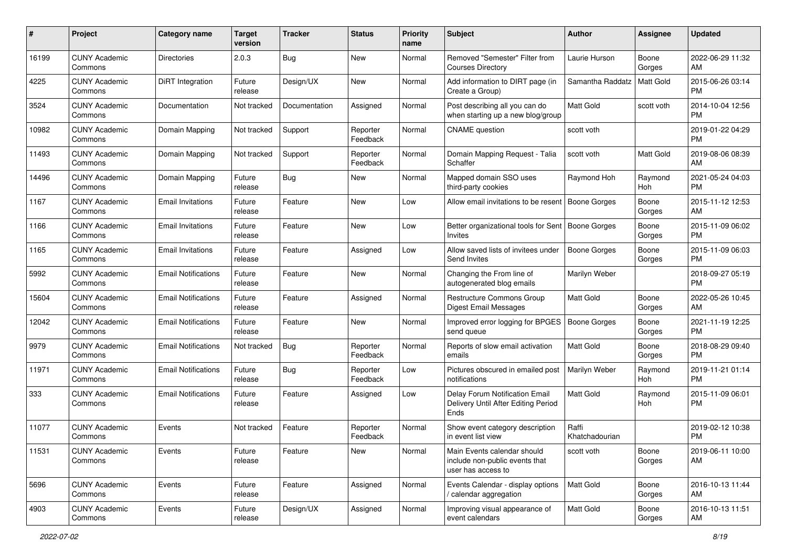| #     | Project                         | <b>Category name</b>       | <b>Target</b><br>version | <b>Tracker</b> | <b>Status</b>        | Priority<br>name | <b>Subject</b>                                                                      | Author                  | Assignee         | <b>Updated</b>                |
|-------|---------------------------------|----------------------------|--------------------------|----------------|----------------------|------------------|-------------------------------------------------------------------------------------|-------------------------|------------------|-------------------------------|
| 16199 | <b>CUNY Academic</b><br>Commons | <b>Directories</b>         | 2.0.3                    | <b>Bug</b>     | New                  | Normal           | Removed "Semester" Filter from<br><b>Courses Directory</b>                          | Laurie Hurson           | Boone<br>Gorges  | 2022-06-29 11:32<br>AM        |
| 4225  | <b>CUNY Academic</b><br>Commons | DiRT Integration           | Future<br>release        | Design/UX      | New                  | Normal           | Add information to DIRT page (in<br>Create a Group)                                 | Samantha Raddatz        | <b>Matt Gold</b> | 2015-06-26 03:14<br><b>PM</b> |
| 3524  | <b>CUNY Academic</b><br>Commons | Documentation              | Not tracked              | Documentation  | Assigned             | Normal           | Post describing all you can do<br>when starting up a new blog/group                 | Matt Gold               | scott voth       | 2014-10-04 12:56<br><b>PM</b> |
| 10982 | <b>CUNY Academic</b><br>Commons | Domain Mapping             | Not tracked              | Support        | Reporter<br>Feedback | Normal           | <b>CNAME</b> question                                                               | scott voth              |                  | 2019-01-22 04:29<br><b>PM</b> |
| 11493 | <b>CUNY Academic</b><br>Commons | Domain Mapping             | Not tracked              | Support        | Reporter<br>Feedback | Normal           | Domain Mapping Request - Talia<br>Schaffer                                          | scott voth              | Matt Gold        | 2019-08-06 08:39<br>AM        |
| 14496 | <b>CUNY Academic</b><br>Commons | Domain Mapping             | Future<br>release        | Bug            | New                  | Normal           | Mapped domain SSO uses<br>third-party cookies                                       | Raymond Hoh             | Raymond<br>Hoh   | 2021-05-24 04:03<br><b>PM</b> |
| 1167  | <b>CUNY Academic</b><br>Commons | <b>Email Invitations</b>   | Future<br>release        | Feature        | New                  | Low              | Allow email invitations to be resent                                                | Boone Gorges            | Boone<br>Gorges  | 2015-11-12 12:53<br>AM        |
| 1166  | <b>CUNY Academic</b><br>Commons | <b>Email Invitations</b>   | Future<br>release        | Feature        | New                  | Low              | Better organizational tools for Sent   Boone Gorges<br>Invites                      |                         | Boone<br>Gorges  | 2015-11-09 06:02<br><b>PM</b> |
| 1165  | <b>CUNY Academic</b><br>Commons | <b>Email Invitations</b>   | Future<br>release        | Feature        | Assigned             | Low              | Allow saved lists of invitees under<br>Send Invites                                 | <b>Boone Gorges</b>     | Boone<br>Gorges  | 2015-11-09 06:03<br><b>PM</b> |
| 5992  | <b>CUNY Academic</b><br>Commons | <b>Email Notifications</b> | Future<br>release        | Feature        | New                  | Normal           | Changing the From line of<br>autogenerated blog emails                              | Marilyn Weber           |                  | 2018-09-27 05:19<br><b>PM</b> |
| 15604 | <b>CUNY Academic</b><br>Commons | <b>Email Notifications</b> | Future<br>release        | Feature        | Assigned             | Normal           | <b>Restructure Commons Group</b><br>Digest Email Messages                           | <b>Matt Gold</b>        | Boone<br>Gorges  | 2022-05-26 10:45<br>AM        |
| 12042 | <b>CUNY Academic</b><br>Commons | <b>Email Notifications</b> | Future<br>release        | Feature        | New                  | Normal           | Improved error logging for BPGES<br>send queue                                      | <b>Boone Gorges</b>     | Boone<br>Gorges  | 2021-11-19 12:25<br><b>PM</b> |
| 9979  | <b>CUNY Academic</b><br>Commons | <b>Email Notifications</b> | Not tracked              | Bug            | Reporter<br>Feedback | Normal           | Reports of slow email activation<br>emails                                          | Matt Gold               | Boone<br>Gorges  | 2018-08-29 09:40<br><b>PM</b> |
| 11971 | <b>CUNY Academic</b><br>Commons | <b>Email Notifications</b> | Future<br>release        | Bug            | Reporter<br>Feedback | Low              | Pictures obscured in emailed post<br>notifications                                  | Marilyn Weber           | Raymond<br>Hoh   | 2019-11-21 01:14<br><b>PM</b> |
| 333   | <b>CUNY Academic</b><br>Commons | <b>Email Notifications</b> | Future<br>release        | Feature        | Assigned             | Low              | Delay Forum Notification Email<br>Delivery Until After Editing Period<br>Ends       | <b>Matt Gold</b>        | Raymond<br>Hoh   | 2015-11-09 06:01<br><b>PM</b> |
| 11077 | <b>CUNY Academic</b><br>Commons | Events                     | Not tracked              | Feature        | Reporter<br>Feedback | Normal           | Show event category description<br>in event list view                               | Raffi<br>Khatchadourian |                  | 2019-02-12 10:38<br><b>PM</b> |
| 11531 | <b>CUNY Academic</b><br>Commons | Events                     | Future<br>release        | Feature        | New                  | Normal           | Main Events calendar should<br>include non-public events that<br>user has access to | scott voth              | Boone<br>Gorges  | 2019-06-11 10:00<br>AM        |
| 5696  | <b>CUNY Academic</b><br>Commons | Events                     | Future<br>release        | Feature        | Assigned             | Normal           | Events Calendar - display options<br>/ calendar aggregation                         | Matt Gold               | Boone<br>Gorges  | 2016-10-13 11:44<br>AM        |
| 4903  | <b>CUNY Academic</b><br>Commons | Events                     | Future<br>release        | Design/UX      | Assigned             | Normal           | Improving visual appearance of<br>event calendars                                   | Matt Gold               | Boone<br>Gorges  | 2016-10-13 11:51<br>AM        |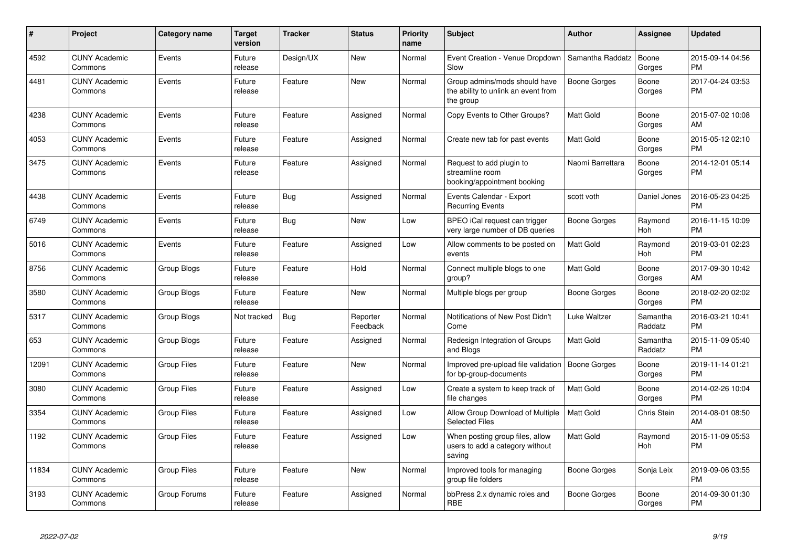| #     | Project                         | Category name      | <b>Target</b><br>version | <b>Tracker</b> | <b>Status</b>        | Priority<br>name | <b>Subject</b>                                                                    | <b>Author</b>       | <b>Assignee</b>     | <b>Updated</b>                |
|-------|---------------------------------|--------------------|--------------------------|----------------|----------------------|------------------|-----------------------------------------------------------------------------------|---------------------|---------------------|-------------------------------|
| 4592  | <b>CUNY Academic</b><br>Commons | Events             | Future<br>release        | Design/UX      | <b>New</b>           | Normal           | Event Creation - Venue Dropdown<br>Slow                                           | Samantha Raddatz    | Boone<br>Gorges     | 2015-09-14 04:56<br><b>PM</b> |
| 4481  | <b>CUNY Academic</b><br>Commons | Events             | Future<br>release        | Feature        | <b>New</b>           | Normal           | Group admins/mods should have<br>the ability to unlink an event from<br>the group | <b>Boone Gorges</b> | Boone<br>Gorges     | 2017-04-24 03:53<br><b>PM</b> |
| 4238  | <b>CUNY Academic</b><br>Commons | Events             | Future<br>release        | Feature        | Assigned             | Normal           | Copy Events to Other Groups?                                                      | Matt Gold           | Boone<br>Gorges     | 2015-07-02 10:08<br>AM        |
| 4053  | <b>CUNY Academic</b><br>Commons | Events             | Future<br>release        | Feature        | Assigned             | Normal           | Create new tab for past events                                                    | Matt Gold           | Boone<br>Gorges     | 2015-05-12 02:10<br><b>PM</b> |
| 3475  | <b>CUNY Academic</b><br>Commons | Events             | Future<br>release        | Feature        | Assigned             | Normal           | Request to add plugin to<br>streamline room<br>booking/appointment booking        | Naomi Barrettara    | Boone<br>Gorges     | 2014-12-01 05:14<br><b>PM</b> |
| 4438  | <b>CUNY Academic</b><br>Commons | Events             | Future<br>release        | Bug            | Assigned             | Normal           | Events Calendar - Export<br><b>Recurring Events</b>                               | scott voth          | Daniel Jones        | 2016-05-23 04:25<br><b>PM</b> |
| 6749  | <b>CUNY Academic</b><br>Commons | Events             | Future<br>release        | <b>Bug</b>     | <b>New</b>           | Low              | BPEO iCal request can trigger<br>very large number of DB queries                  | <b>Boone Gorges</b> | Raymond<br>Hoh      | 2016-11-15 10:09<br><b>PM</b> |
| 5016  | <b>CUNY Academic</b><br>Commons | Events             | Future<br>release        | Feature        | Assigned             | Low              | Allow comments to be posted on<br>events                                          | Matt Gold           | Raymond<br>Hoh      | 2019-03-01 02:23<br><b>PM</b> |
| 8756  | <b>CUNY Academic</b><br>Commons | Group Blogs        | Future<br>release        | Feature        | Hold                 | Normal           | Connect multiple blogs to one<br>group?                                           | Matt Gold           | Boone<br>Gorges     | 2017-09-30 10:42<br>AM        |
| 3580  | <b>CUNY Academic</b><br>Commons | Group Blogs        | Future<br>release        | Feature        | <b>New</b>           | Normal           | Multiple blogs per group                                                          | Boone Gorges        | Boone<br>Gorges     | 2018-02-20 02:02<br><b>PM</b> |
| 5317  | <b>CUNY Academic</b><br>Commons | Group Blogs        | Not tracked              | Bug            | Reporter<br>Feedback | Normal           | Notifications of New Post Didn't<br>Come                                          | Luke Waltzer        | Samantha<br>Raddatz | 2016-03-21 10:41<br><b>PM</b> |
| 653   | <b>CUNY Academic</b><br>Commons | Group Blogs        | Future<br>release        | Feature        | Assigned             | Normal           | Redesign Integration of Groups<br>and Blogs                                       | Matt Gold           | Samantha<br>Raddatz | 2015-11-09 05:40<br><b>PM</b> |
| 12091 | <b>CUNY Academic</b><br>Commons | <b>Group Files</b> | Future<br>release        | Feature        | <b>New</b>           | Normal           | Improved pre-upload file validation<br>for bp-group-documents                     | <b>Boone Gorges</b> | Boone<br>Gorges     | 2019-11-14 01:21<br><b>PM</b> |
| 3080  | <b>CUNY Academic</b><br>Commons | <b>Group Files</b> | Future<br>release        | Feature        | Assigned             | Low              | Create a system to keep track of<br>file changes                                  | Matt Gold           | Boone<br>Gorges     | 2014-02-26 10:04<br><b>PM</b> |
| 3354  | <b>CUNY Academic</b><br>Commons | Group Files        | Future<br>release        | Feature        | Assigned             | Low              | Allow Group Download of Multiple<br><b>Selected Files</b>                         | <b>Matt Gold</b>    | Chris Stein         | 2014-08-01 08:50<br>AM        |
| 1192  | <b>CUNY Academic</b><br>Commons | <b>Group Files</b> | Future<br>release        | Feature        | Assigned             | Low              | When posting group files, allow<br>users to add a category without<br>saving      | <b>Matt Gold</b>    | Raymond<br>Hoh      | 2015-11-09 05:53<br><b>PM</b> |
| 11834 | <b>CUNY Academic</b><br>Commons | <b>Group Files</b> | Future<br>release        | Feature        | <b>New</b>           | Normal           | Improved tools for managing<br>group file folders                                 | Boone Gorges        | Sonja Leix          | 2019-09-06 03:55<br><b>PM</b> |
| 3193  | <b>CUNY Academic</b><br>Commons | Group Forums       | Future<br>release        | Feature        | Assigned             | Normal           | bbPress 2.x dynamic roles and<br><b>RBE</b>                                       | Boone Gorges        | Boone<br>Gorges     | 2014-09-30 01:30<br>PM        |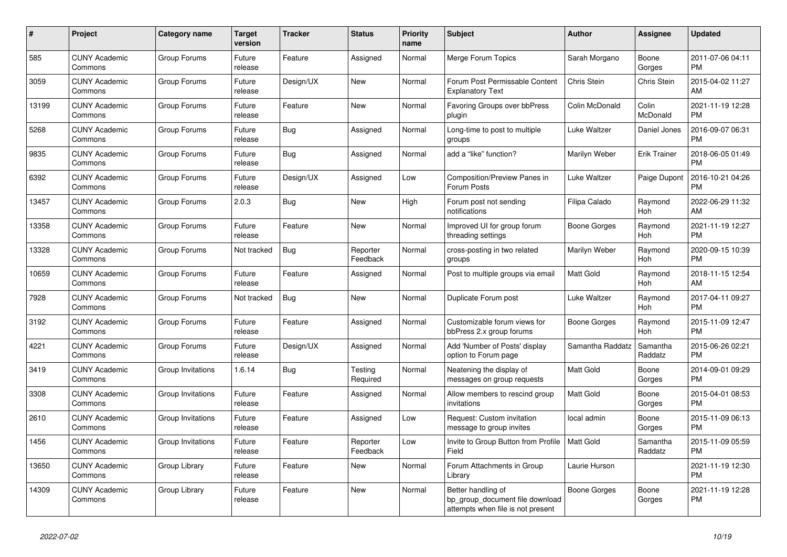| #     | Project                         | Category name     | <b>Target</b><br>version | Tracker    | <b>Status</b>        | <b>Priority</b><br>name | <b>Subject</b>                                                                             | <b>Author</b>    | Assignee            | <b>Updated</b>                |
|-------|---------------------------------|-------------------|--------------------------|------------|----------------------|-------------------------|--------------------------------------------------------------------------------------------|------------------|---------------------|-------------------------------|
| 585   | <b>CUNY Academic</b><br>Commons | Group Forums      | Future<br>release        | Feature    | Assigned             | Normal                  | Merge Forum Topics                                                                         | Sarah Morgano    | Boone<br>Gorges     | 2011-07-06 04:11<br><b>PM</b> |
| 3059  | <b>CUNY Academic</b><br>Commons | Group Forums      | Future<br>release        | Design/UX  | <b>New</b>           | Normal                  | Forum Post Permissable Content<br><b>Explanatory Text</b>                                  | Chris Stein      | Chris Stein         | 2015-04-02 11:27<br>AM        |
| 13199 | <b>CUNY Academic</b><br>Commons | Group Forums      | Future<br>release        | Feature    | New                  | Normal                  | Favoring Groups over bbPress<br>plugin                                                     | Colin McDonald   | Colin<br>McDonald   | 2021-11-19 12:28<br><b>PM</b> |
| 5268  | <b>CUNY Academic</b><br>Commons | Group Forums      | Future<br>release        | <b>Bug</b> | Assigned             | Normal                  | Long-time to post to multiple<br>groups                                                    | Luke Waltzer     | Daniel Jones        | 2016-09-07 06:31<br><b>PM</b> |
| 9835  | <b>CUNY Academic</b><br>Commons | Group Forums      | Future<br>release        | Bug        | Assigned             | Normal                  | add a "like" function?                                                                     | Marilyn Weber    | <b>Erik Trainer</b> | 2018-06-05 01:49<br><b>PM</b> |
| 6392  | <b>CUNY Academic</b><br>Commons | Group Forums      | Future<br>release        | Design/UX  | Assigned             | Low                     | <b>Composition/Preview Panes in</b><br>Forum Posts                                         | Luke Waltzer     | Paige Dupont        | 2016-10-21 04:26<br><b>PM</b> |
| 13457 | <b>CUNY Academic</b><br>Commons | Group Forums      | 2.0.3                    | <b>Bug</b> | <b>New</b>           | High                    | Forum post not sending<br>notifications                                                    | Filipa Calado    | Raymond<br>Hoh      | 2022-06-29 11:32<br>AM        |
| 13358 | <b>CUNY Academic</b><br>Commons | Group Forums      | Future<br>release        | Feature    | <b>New</b>           | Normal                  | Improved UI for group forum<br>threading settings                                          | Boone Gorges     | Raymond<br>Hoh      | 2021-11-19 12:27<br><b>PM</b> |
| 13328 | <b>CUNY Academic</b><br>Commons | Group Forums      | Not tracked              | Bug        | Reporter<br>Feedback | Normal                  | cross-posting in two related<br>groups                                                     | Marilyn Weber    | Raymond<br>Hoh      | 2020-09-15 10:39<br><b>PM</b> |
| 10659 | <b>CUNY Academic</b><br>Commons | Group Forums      | Future<br>release        | Feature    | Assigned             | Normal                  | Post to multiple groups via email                                                          | <b>Matt Gold</b> | Raymond<br>Hoh      | 2018-11-15 12:54<br>AM        |
| 7928  | <b>CUNY Academic</b><br>Commons | Group Forums      | Not tracked              | Bug        | <b>New</b>           | Normal                  | Duplicate Forum post                                                                       | Luke Waltzer     | Raymond<br>Hoh      | 2017-04-11 09:27<br><b>PM</b> |
| 3192  | <b>CUNY Academic</b><br>Commons | Group Forums      | Future<br>release        | Feature    | Assigned             | Normal                  | Customizable forum views for<br>bbPress 2.x group forums                                   | Boone Gorges     | Raymond<br>Hoh      | 2015-11-09 12:47<br><b>PM</b> |
| 4221  | <b>CUNY Academic</b><br>Commons | Group Forums      | Future<br>release        | Design/UX  | Assigned             | Normal                  | Add 'Number of Posts' display<br>option to Forum page                                      | Samantha Raddatz | Samantha<br>Raddatz | 2015-06-26 02:21<br><b>PM</b> |
| 3419  | <b>CUNY Academic</b><br>Commons | Group Invitations | 1.6.14                   | Bug        | Testing<br>Required  | Normal                  | Neatening the display of<br>messages on group requests                                     | <b>Matt Gold</b> | Boone<br>Gorges     | 2014-09-01 09:29<br><b>PM</b> |
| 3308  | <b>CUNY Academic</b><br>Commons | Group Invitations | Future<br>release        | Feature    | Assigned             | Normal                  | Allow members to rescind group<br>invitations                                              | <b>Matt Gold</b> | Boone<br>Gorges     | 2015-04-01 08:53<br><b>PM</b> |
| 2610  | <b>CUNY Academic</b><br>Commons | Group Invitations | Future<br>release        | Feature    | Assigned             | Low                     | Request: Custom invitation<br>message to group invites                                     | local admin      | Boone<br>Gorges     | 2015-11-09 06:13<br><b>PM</b> |
| 1456  | <b>CUNY Academic</b><br>Commons | Group Invitations | Future<br>release        | Feature    | Reporter<br>Feedback | Low                     | Invite to Group Button from Profile<br>Field                                               | <b>Matt Gold</b> | Samantha<br>Raddatz | 2015-11-09 05:59<br><b>PM</b> |
| 13650 | <b>CUNY Academic</b><br>Commons | Group Library     | Future<br>release        | Feature    | <b>New</b>           | Normal                  | Forum Attachments in Group<br>Library                                                      | Laurie Hurson    |                     | 2021-11-19 12:30<br><b>PM</b> |
| 14309 | <b>CUNY Academic</b><br>Commons | Group Library     | Future<br>release        | Feature    | <b>New</b>           | Normal                  | Better handling of<br>bp_group_document file download<br>attempts when file is not present | Boone Gorges     | Boone<br>Gorges     | 2021-11-19 12:28<br><b>PM</b> |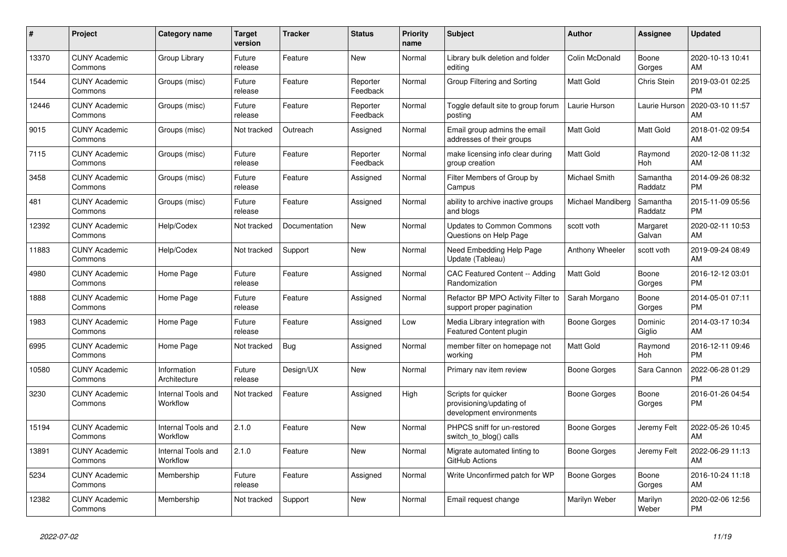| #     | Project                         | <b>Category name</b>           | <b>Target</b><br>version | <b>Tracker</b> | <b>Status</b>        | <b>Priority</b><br>name | <b>Subject</b>                                                              | <b>Author</b>     | Assignee            | <b>Updated</b>                |
|-------|---------------------------------|--------------------------------|--------------------------|----------------|----------------------|-------------------------|-----------------------------------------------------------------------------|-------------------|---------------------|-------------------------------|
| 13370 | <b>CUNY Academic</b><br>Commons | Group Library                  | Future<br>release        | Feature        | <b>New</b>           | Normal                  | Library bulk deletion and folder<br>editing                                 | Colin McDonald    | Boone<br>Gorges     | 2020-10-13 10:41<br>AM        |
| 1544  | <b>CUNY Academic</b><br>Commons | Groups (misc)                  | Future<br>release        | Feature        | Reporter<br>Feedback | Normal                  | Group Filtering and Sorting                                                 | <b>Matt Gold</b>  | Chris Stein         | 2019-03-01 02:25<br><b>PM</b> |
| 12446 | <b>CUNY Academic</b><br>Commons | Groups (misc)                  | Future<br>release        | Feature        | Reporter<br>Feedback | Normal                  | Toggle default site to group forum<br>posting                               | Laurie Hurson     | Laurie Hurson       | 2020-03-10 11:57<br>AM        |
| 9015  | <b>CUNY Academic</b><br>Commons | Groups (misc)                  | Not tracked              | Outreach       | Assigned             | Normal                  | Email group admins the email<br>addresses of their groups                   | <b>Matt Gold</b>  | Matt Gold           | 2018-01-02 09:54<br>AM        |
| 7115  | <b>CUNY Academic</b><br>Commons | Groups (misc)                  | Future<br>release        | Feature        | Reporter<br>Feedback | Normal                  | make licensing info clear during<br>group creation                          | Matt Gold         | Raymond<br>Hoh      | 2020-12-08 11:32<br>AM        |
| 3458  | <b>CUNY Academic</b><br>Commons | Groups (misc)                  | Future<br>release        | Feature        | Assigned             | Normal                  | Filter Members of Group by<br>Campus                                        | Michael Smith     | Samantha<br>Raddatz | 2014-09-26 08:32<br><b>PM</b> |
| 481   | <b>CUNY Academic</b><br>Commons | Groups (misc)                  | Future<br>release        | Feature        | Assigned             | Normal                  | ability to archive inactive groups<br>and blogs                             | Michael Mandiberg | Samantha<br>Raddatz | 2015-11-09 05:56<br><b>PM</b> |
| 12392 | <b>CUNY Academic</b><br>Commons | Help/Codex                     | Not tracked              | Documentation  | <b>New</b>           | Normal                  | <b>Updates to Common Commons</b><br>Questions on Help Page                  | scott voth        | Margaret<br>Galvan  | 2020-02-11 10:53<br>AM        |
| 11883 | <b>CUNY Academic</b><br>Commons | Help/Codex                     | Not tracked              | Support        | <b>New</b>           | Normal                  | Need Embedding Help Page<br>Update (Tableau)                                | Anthony Wheeler   | scott voth          | 2019-09-24 08:49<br>AM        |
| 4980  | <b>CUNY Academic</b><br>Commons | Home Page                      | Future<br>release        | Feature        | Assigned             | Normal                  | CAC Featured Content -- Adding<br>Randomization                             | Matt Gold         | Boone<br>Gorges     | 2016-12-12 03:01<br><b>PM</b> |
| 1888  | <b>CUNY Academic</b><br>Commons | Home Page                      | Future<br>release        | Feature        | Assigned             | Normal                  | Refactor BP MPO Activity Filter to<br>support proper pagination             | Sarah Morgano     | Boone<br>Gorges     | 2014-05-01 07:11<br><b>PM</b> |
| 1983  | <b>CUNY Academic</b><br>Commons | Home Page                      | Future<br>release        | Feature        | Assigned             | Low                     | Media Library integration with<br><b>Featured Content plugin</b>            | Boone Gorges      | Dominic<br>Giglio   | 2014-03-17 10:34<br>AM        |
| 6995  | <b>CUNY Academic</b><br>Commons | Home Page                      | Not tracked              | <b>Bug</b>     | Assigned             | Normal                  | member filter on homepage not<br>workina                                    | Matt Gold         | Raymond<br>Hoh      | 2016-12-11 09:46<br><b>PM</b> |
| 10580 | <b>CUNY Academic</b><br>Commons | Information<br>Architecture    | Future<br>release        | Design/UX      | <b>New</b>           | Normal                  | Primary nav item review                                                     | Boone Gorges      | Sara Cannon         | 2022-06-28 01:29<br><b>PM</b> |
| 3230  | <b>CUNY Academic</b><br>Commons | Internal Tools and<br>Workflow | Not tracked              | Feature        | Assigned             | High                    | Scripts for quicker<br>provisioning/updating of<br>development environments | Boone Gorges      | Boone<br>Gorges     | 2016-01-26 04:54<br><b>PM</b> |
| 15194 | <b>CUNY Academic</b><br>Commons | Internal Tools and<br>Workflow | 2.1.0                    | Feature        | <b>New</b>           | Normal                  | PHPCS sniff for un-restored<br>switch to blog() calls                       | Boone Gorges      | Jeremy Felt         | 2022-05-26 10:45<br>AM        |
| 13891 | <b>CUNY Academic</b><br>Commons | Internal Tools and<br>Workflow | 2.1.0                    | Feature        | <b>New</b>           | Normal                  | Migrate automated linting to<br>GitHub Actions                              | Boone Gorges      | Jeremy Felt         | 2022-06-29 11:13<br>AM        |
| 5234  | <b>CUNY Academic</b><br>Commons | Membership                     | Future<br>release        | Feature        | Assigned             | Normal                  | Write Unconfirmed patch for WP                                              | Boone Gorges      | Boone<br>Gorges     | 2016-10-24 11:18<br>AM        |
| 12382 | <b>CUNY Academic</b><br>Commons | Membership                     | Not tracked              | Support        | <b>New</b>           | Normal                  | Email request change                                                        | Marilyn Weber     | Marilyn<br>Weber    | 2020-02-06 12:56<br><b>PM</b> |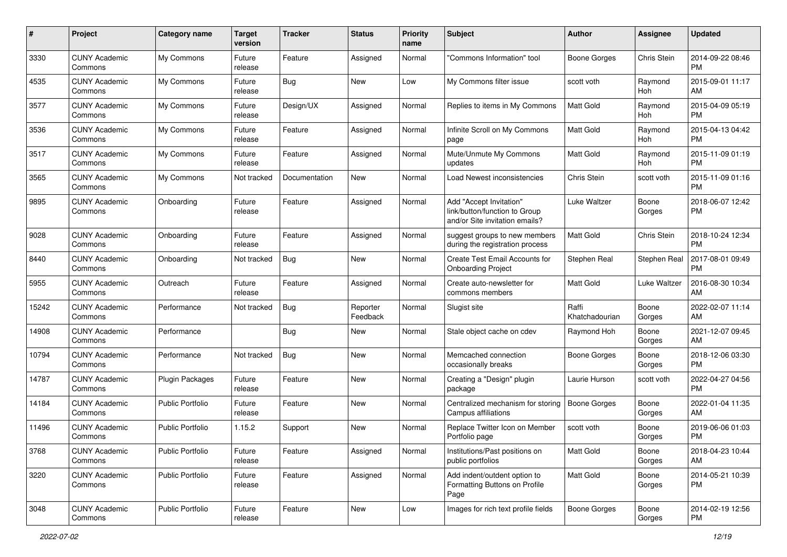| #     | Project                         | <b>Category name</b>    | <b>Target</b><br>version | <b>Tracker</b> | <b>Status</b>        | Priority<br>name | <b>Subject</b>                                                                             | Author                  | <b>Assignee</b> | <b>Updated</b>                |
|-------|---------------------------------|-------------------------|--------------------------|----------------|----------------------|------------------|--------------------------------------------------------------------------------------------|-------------------------|-----------------|-------------------------------|
| 3330  | <b>CUNY Academic</b><br>Commons | My Commons              | Future<br>release        | Feature        | Assigned             | Normal           | "Commons Information" tool                                                                 | <b>Boone Gorges</b>     | Chris Stein     | 2014-09-22 08:46<br><b>PM</b> |
| 4535  | <b>CUNY Academic</b><br>Commons | My Commons              | Future<br>release        | Bug            | New                  | Low              | My Commons filter issue                                                                    | scott voth              | Raymond<br>Hoh  | 2015-09-01 11:17<br>AM        |
| 3577  | <b>CUNY Academic</b><br>Commons | My Commons              | Future<br>release        | Design/UX      | Assigned             | Normal           | Replies to items in My Commons                                                             | Matt Gold               | Raymond<br>Hoh  | 2015-04-09 05:19<br><b>PM</b> |
| 3536  | <b>CUNY Academic</b><br>Commons | My Commons              | Future<br>release        | Feature        | Assigned             | Normal           | Infinite Scroll on My Commons<br>page                                                      | <b>Matt Gold</b>        | Raymond<br>Hoh  | 2015-04-13 04:42<br><b>PM</b> |
| 3517  | <b>CUNY Academic</b><br>Commons | My Commons              | Future<br>release        | Feature        | Assigned             | Normal           | Mute/Unmute My Commons<br>updates                                                          | <b>Matt Gold</b>        | Raymond<br>Hoh  | 2015-11-09 01:19<br><b>PM</b> |
| 3565  | <b>CUNY Academic</b><br>Commons | My Commons              | Not tracked              | Documentation  | New                  | Normal           | Load Newest inconsistencies                                                                | Chris Stein             | scott voth      | 2015-11-09 01:16<br><b>PM</b> |
| 9895  | <b>CUNY Academic</b><br>Commons | Onboarding              | Future<br>release        | Feature        | Assigned             | Normal           | Add "Accept Invitation"<br>link/button/function to Group<br>and/or Site invitation emails? | Luke Waltzer            | Boone<br>Gorges | 2018-06-07 12:42<br><b>PM</b> |
| 9028  | <b>CUNY Academic</b><br>Commons | Onboarding              | Future<br>release        | Feature        | Assigned             | Normal           | suggest groups to new members<br>during the registration process                           | <b>Matt Gold</b>        | Chris Stein     | 2018-10-24 12:34<br><b>PM</b> |
| 8440  | <b>CUNY Academic</b><br>Commons | Onboarding              | Not tracked              | Bug            | <b>New</b>           | Normal           | Create Test Email Accounts for<br><b>Onboarding Project</b>                                | Stephen Real            | Stephen Real    | 2017-08-01 09:49<br><b>PM</b> |
| 5955  | <b>CUNY Academic</b><br>Commons | Outreach                | Future<br>release        | Feature        | Assigned             | Normal           | Create auto-newsletter for<br>commons members                                              | <b>Matt Gold</b>        | Luke Waltzer    | 2016-08-30 10:34<br>AM        |
| 15242 | <b>CUNY Academic</b><br>Commons | Performance             | Not tracked              | Bug            | Reporter<br>Feedback | Normal           | Slugist site                                                                               | Raffi<br>Khatchadourian | Boone<br>Gorges | 2022-02-07 11:14<br>AM        |
| 14908 | <b>CUNY Academic</b><br>Commons | Performance             |                          | Bug            | New                  | Normal           | Stale object cache on cdev                                                                 | Raymond Hoh             | Boone<br>Gorges | 2021-12-07 09:45<br>AM        |
| 10794 | <b>CUNY Academic</b><br>Commons | Performance             | Not tracked              | Bug            | <b>New</b>           | Normal           | Memcached connection<br>occasionally breaks                                                | <b>Boone Gorges</b>     | Boone<br>Gorges | 2018-12-06 03:30<br><b>PM</b> |
| 14787 | <b>CUNY Academic</b><br>Commons | <b>Plugin Packages</b>  | Future<br>release        | Feature        | New                  | Normal           | Creating a "Design" plugin<br>package                                                      | Laurie Hurson           | scott voth      | 2022-04-27 04:56<br><b>PM</b> |
| 14184 | <b>CUNY Academic</b><br>Commons | <b>Public Portfolio</b> | Future<br>release        | Feature        | New                  | Normal           | Centralized mechanism for storing<br>Campus affiliations                                   | <b>Boone Gorges</b>     | Boone<br>Gorges | 2022-01-04 11:35<br>AM        |
| 11496 | <b>CUNY Academic</b><br>Commons | Public Portfolio        | 1.15.2                   | Support        | New                  | Normal           | Replace Twitter Icon on Member<br>Portfolio page                                           | scott voth              | Boone<br>Gorges | 2019-06-06 01:03<br><b>PM</b> |
| 3768  | <b>CUNY Academic</b><br>Commons | Public Portfolio        | Future<br>release        | Feature        | Assigned             | Normal           | Institutions/Past positions on<br>public portfolios                                        | Matt Gold               | Boone<br>Gorges | 2018-04-23 10:44<br>AM        |
| 3220  | <b>CUNY Academic</b><br>Commons | Public Portfolio        | Future<br>release        | Feature        | Assigned             | Normal           | Add indent/outdent option to<br>Formatting Buttons on Profile<br>Page                      | Matt Gold               | Boone<br>Gorges | 2014-05-21 10:39<br><b>PM</b> |
| 3048  | <b>CUNY Academic</b><br>Commons | Public Portfolio        | Future<br>release        | Feature        | New                  | Low              | Images for rich text profile fields                                                        | <b>Boone Gorges</b>     | Boone<br>Gorges | 2014-02-19 12:56<br>PM        |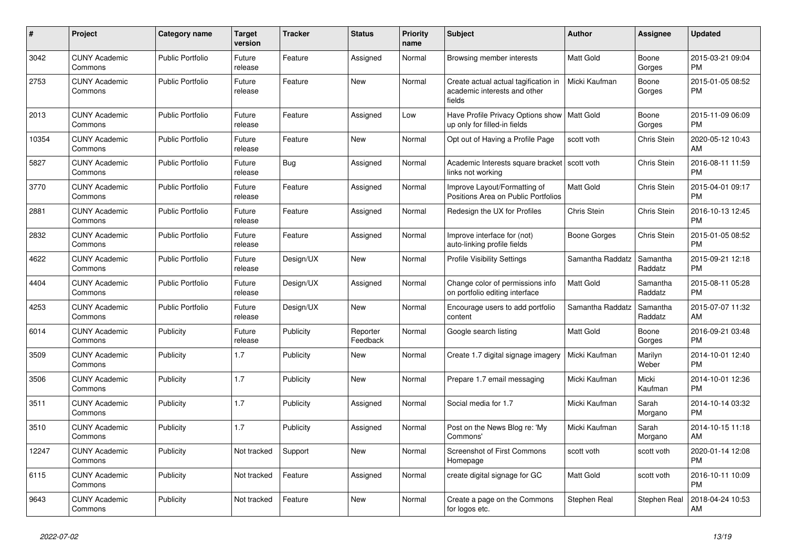| $\#$  | Project                         | <b>Category name</b>    | <b>Target</b><br>version | <b>Tracker</b> | <b>Status</b>        | Priority<br>name | <b>Subject</b>                                                                 | <b>Author</b>    | <b>Assignee</b>     | <b>Updated</b>                |
|-------|---------------------------------|-------------------------|--------------------------|----------------|----------------------|------------------|--------------------------------------------------------------------------------|------------------|---------------------|-------------------------------|
| 3042  | <b>CUNY Academic</b><br>Commons | <b>Public Portfolio</b> | Future<br>release        | Feature        | Assigned             | Normal           | Browsing member interests                                                      | Matt Gold        | Boone<br>Gorges     | 2015-03-21 09:04<br><b>PM</b> |
| 2753  | <b>CUNY Academic</b><br>Commons | <b>Public Portfolio</b> | Future<br>release        | Feature        | New                  | Normal           | Create actual actual tagification in<br>academic interests and other<br>fields | Micki Kaufman    | Boone<br>Gorges     | 2015-01-05 08:52<br><b>PM</b> |
| 2013  | <b>CUNY Academic</b><br>Commons | <b>Public Portfolio</b> | Future<br>release        | Feature        | Assigned             | Low              | Have Profile Privacy Options show   Matt Gold<br>up only for filled-in fields  |                  | Boone<br>Gorges     | 2015-11-09 06:09<br><b>PM</b> |
| 10354 | <b>CUNY Academic</b><br>Commons | <b>Public Portfolio</b> | Future<br>release        | Feature        | New                  | Normal           | Opt out of Having a Profile Page                                               | scott voth       | Chris Stein         | 2020-05-12 10:43<br>AM        |
| 5827  | <b>CUNY Academic</b><br>Commons | <b>Public Portfolio</b> | Future<br>release        | Bug            | Assigned             | Normal           | Academic Interests square bracket<br>links not working                         | scott voth       | Chris Stein         | 2016-08-11 11:59<br><b>PM</b> |
| 3770  | <b>CUNY Academic</b><br>Commons | <b>Public Portfolio</b> | Future<br>release        | Feature        | Assigned             | Normal           | Improve Layout/Formatting of<br>Positions Area on Public Portfolios            | <b>Matt Gold</b> | Chris Stein         | 2015-04-01 09:17<br><b>PM</b> |
| 2881  | <b>CUNY Academic</b><br>Commons | Public Portfolio        | Future<br>release        | Feature        | Assigned             | Normal           | Redesign the UX for Profiles                                                   | Chris Stein      | Chris Stein         | 2016-10-13 12:45<br><b>PM</b> |
| 2832  | <b>CUNY Academic</b><br>Commons | <b>Public Portfolio</b> | Future<br>release        | Feature        | Assigned             | Normal           | Improve interface for (not)<br>auto-linking profile fields                     | Boone Gorges     | Chris Stein         | 2015-01-05 08:52<br><b>PM</b> |
| 4622  | <b>CUNY Academic</b><br>Commons | <b>Public Portfolio</b> | Future<br>release        | Design/UX      | <b>New</b>           | Normal           | <b>Profile Visibility Settings</b>                                             | Samantha Raddatz | Samantha<br>Raddatz | 2015-09-21 12:18<br><b>PM</b> |
| 4404  | <b>CUNY Academic</b><br>Commons | <b>Public Portfolio</b> | Future<br>release        | Design/UX      | Assigned             | Normal           | Change color of permissions info<br>on portfolio editing interface             | <b>Matt Gold</b> | Samantha<br>Raddatz | 2015-08-11 05:28<br><b>PM</b> |
| 4253  | <b>CUNY Academic</b><br>Commons | Public Portfolio        | Future<br>release        | Design/UX      | New                  | Normal           | Encourage users to add portfolio<br>content                                    | Samantha Raddatz | Samantha<br>Raddatz | 2015-07-07 11:32<br>AM        |
| 6014  | <b>CUNY Academic</b><br>Commons | Publicity               | Future<br>release        | Publicity      | Reporter<br>Feedback | Normal           | Google search listing                                                          | <b>Matt Gold</b> | Boone<br>Gorges     | 2016-09-21 03:48<br><b>PM</b> |
| 3509  | <b>CUNY Academic</b><br>Commons | Publicity               | 1.7                      | Publicity      | New                  | Normal           | Create 1.7 digital signage imagery                                             | Micki Kaufman    | Marilyn<br>Weber    | 2014-10-01 12:40<br><b>PM</b> |
| 3506  | <b>CUNY Academic</b><br>Commons | Publicity               | 1.7                      | Publicity      | New                  | Normal           | Prepare 1.7 email messaging                                                    | Micki Kaufman    | Micki<br>Kaufman    | 2014-10-01 12:36<br><b>PM</b> |
| 3511  | <b>CUNY Academic</b><br>Commons | Publicity               | 1.7                      | Publicity      | Assigned             | Normal           | Social media for 1.7                                                           | Micki Kaufman    | Sarah<br>Morgano    | 2014-10-14 03:32<br><b>PM</b> |
| 3510  | <b>CUNY Academic</b><br>Commons | Publicity               | 1.7                      | Publicity      | Assigned             | Normal           | Post on the News Blog re: 'My<br>Commons'                                      | Micki Kaufman    | Sarah<br>Morgano    | 2014-10-15 11:18<br>AM        |
| 12247 | <b>CUNY Academic</b><br>Commons | Publicity               | Not tracked              | Support        | <b>New</b>           | Normal           | Screenshot of First Commons<br>Homepage                                        | scott voth       | scott voth          | 2020-01-14 12:08<br><b>PM</b> |
| 6115  | <b>CUNY Academic</b><br>Commons | Publicity               | Not tracked              | Feature        | Assigned             | Normal           | create digital signage for GC                                                  | Matt Gold        | scott voth          | 2016-10-11 10:09<br><b>PM</b> |
| 9643  | <b>CUNY Academic</b><br>Commons | Publicity               | Not tracked              | Feature        | <b>New</b>           | Normal           | Create a page on the Commons<br>for logos etc.                                 | Stephen Real     | Stephen Real        | 2018-04-24 10:53<br>AM        |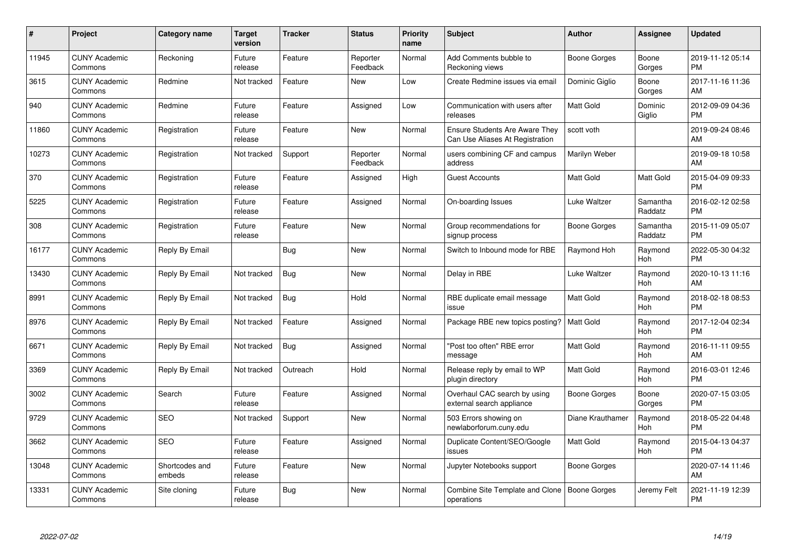| $\#$  | Project                         | <b>Category name</b>     | Target<br>version | <b>Tracker</b> | <b>Status</b>        | Priority<br>name | <b>Subject</b>                                                           | <b>Author</b>    | <b>Assignee</b>     | <b>Updated</b>                |
|-------|---------------------------------|--------------------------|-------------------|----------------|----------------------|------------------|--------------------------------------------------------------------------|------------------|---------------------|-------------------------------|
| 11945 | <b>CUNY Academic</b><br>Commons | Reckoning                | Future<br>release | Feature        | Reporter<br>Feedback | Normal           | Add Comments bubble to<br>Reckoning views                                | Boone Gorges     | Boone<br>Gorges     | 2019-11-12 05:14<br><b>PM</b> |
| 3615  | <b>CUNY Academic</b><br>Commons | Redmine                  | Not tracked       | Feature        | <b>New</b>           | Low              | Create Redmine issues via email                                          | Dominic Giglio   | Boone<br>Gorges     | 2017-11-16 11:36<br>AM        |
| 940   | <b>CUNY Academic</b><br>Commons | Redmine                  | Future<br>release | Feature        | Assigned             | Low              | Communication with users after<br>releases                               | Matt Gold        | Dominic<br>Giglio   | 2012-09-09 04:36<br><b>PM</b> |
| 11860 | <b>CUNY Academic</b><br>Commons | Registration             | Future<br>release | Feature        | <b>New</b>           | Normal           | <b>Ensure Students Are Aware They</b><br>Can Use Aliases At Registration | scott voth       |                     | 2019-09-24 08:46<br>AM        |
| 10273 | <b>CUNY Academic</b><br>Commons | Registration             | Not tracked       | Support        | Reporter<br>Feedback | Normal           | users combining CF and campus<br>address                                 | Marilyn Weber    |                     | 2019-09-18 10:58<br>AM        |
| 370   | <b>CUNY Academic</b><br>Commons | Registration             | Future<br>release | Feature        | Assigned             | High             | <b>Guest Accounts</b>                                                    | <b>Matt Gold</b> | Matt Gold           | 2015-04-09 09:33<br><b>PM</b> |
| 5225  | <b>CUNY Academic</b><br>Commons | Registration             | Future<br>release | Feature        | Assigned             | Normal           | On-boarding Issues                                                       | Luke Waltzer     | Samantha<br>Raddatz | 2016-02-12 02:58<br><b>PM</b> |
| 308   | <b>CUNY Academic</b><br>Commons | Registration             | Future<br>release | Feature        | <b>New</b>           | Normal           | Group recommendations for<br>signup process                              | Boone Gorges     | Samantha<br>Raddatz | 2015-11-09 05:07<br><b>PM</b> |
| 16177 | <b>CUNY Academic</b><br>Commons | Reply By Email           |                   | <b>Bug</b>     | New                  | Normal           | Switch to Inbound mode for RBE                                           | Raymond Hoh      | Raymond<br>Hoh      | 2022-05-30 04:32<br><b>PM</b> |
| 13430 | <b>CUNY Academic</b><br>Commons | Reply By Email           | Not tracked       | Bug            | <b>New</b>           | Normal           | Delay in RBE                                                             | Luke Waltzer     | Raymond<br>Hoh      | 2020-10-13 11:16<br>AM        |
| 8991  | <b>CUNY Academic</b><br>Commons | Reply By Email           | Not tracked       | Bug            | Hold                 | Normal           | RBE duplicate email message<br>issue                                     | Matt Gold        | Raymond<br>Hoh      | 2018-02-18 08:53<br><b>PM</b> |
| 8976  | <b>CUNY Academic</b><br>Commons | Reply By Email           | Not tracked       | Feature        | Assigned             | Normal           | Package RBE new topics posting?                                          | <b>Matt Gold</b> | Raymond<br>Hoh      | 2017-12-04 02:34<br><b>PM</b> |
| 6671  | <b>CUNY Academic</b><br>Commons | Reply By Email           | Not tracked       | Bug            | Assigned             | Normal           | "Post too often" RBE error<br>message                                    | Matt Gold        | Raymond<br>Hoh      | 2016-11-11 09:55<br>AM        |
| 3369  | <b>CUNY Academic</b><br>Commons | Reply By Email           | Not tracked       | Outreach       | Hold                 | Normal           | Release reply by email to WP<br>plugin directory                         | Matt Gold        | Raymond<br>Hoh      | 2016-03-01 12:46<br><b>PM</b> |
| 3002  | <b>CUNY Academic</b><br>Commons | Search                   | Future<br>release | Feature        | Assigned             | Normal           | Overhaul CAC search by using<br>external search appliance                | Boone Gorges     | Boone<br>Gorges     | 2020-07-15 03:05<br><b>PM</b> |
| 9729  | <b>CUNY Academic</b><br>Commons | <b>SEO</b>               | Not tracked       | Support        | <b>New</b>           | Normal           | 503 Errors showing on<br>newlaborforum.cuny.edu                          | Diane Krauthamer | Raymond<br>Hoh      | 2018-05-22 04:48<br><b>PM</b> |
| 3662  | <b>CUNY Academic</b><br>Commons | <b>SEO</b>               | Future<br>release | Feature        | Assigned             | Normal           | Duplicate Content/SEO/Google<br>issues                                   | Matt Gold        | Raymond<br>Hoh      | 2015-04-13 04:37<br><b>PM</b> |
| 13048 | <b>CUNY Academic</b><br>Commons | Shortcodes and<br>embeds | Future<br>release | Feature        | New                  | Normal           | Jupyter Notebooks support                                                | Boone Gorges     |                     | 2020-07-14 11:46<br>AM        |
| 13331 | <b>CUNY Academic</b><br>Commons | Site cloning             | Future<br>release | Bug            | <b>New</b>           | Normal           | Combine Site Template and Clone<br>operations                            | Boone Gorges     | Jeremy Felt         | 2021-11-19 12:39<br><b>PM</b> |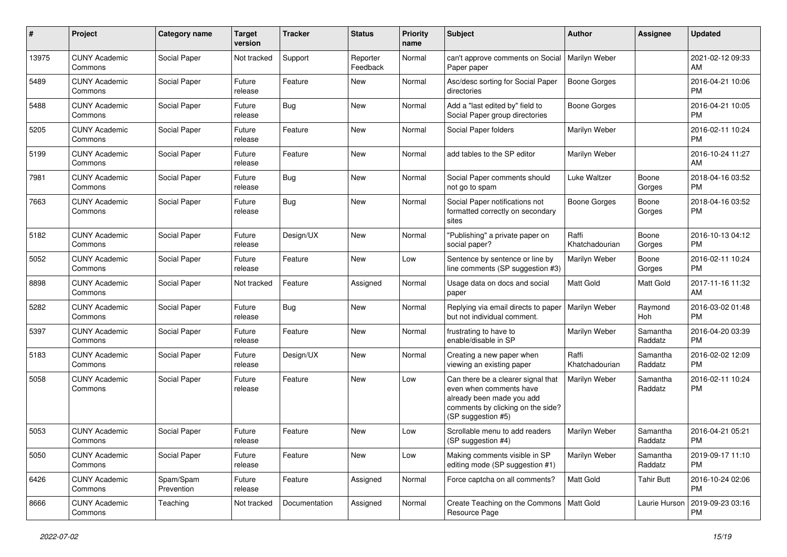| #     | Project                         | <b>Category name</b>    | <b>Target</b><br>version | <b>Tracker</b> | <b>Status</b>        | <b>Priority</b><br>name | <b>Subject</b>                                                                                                                                        | Author                  | <b>Assignee</b>     | <b>Updated</b>                |
|-------|---------------------------------|-------------------------|--------------------------|----------------|----------------------|-------------------------|-------------------------------------------------------------------------------------------------------------------------------------------------------|-------------------------|---------------------|-------------------------------|
| 13975 | <b>CUNY Academic</b><br>Commons | Social Paper            | Not tracked              | Support        | Reporter<br>Feedback | Normal                  | can't approve comments on Social<br>Paper paper                                                                                                       | Marilyn Weber           |                     | 2021-02-12 09:33<br>AM        |
| 5489  | <b>CUNY Academic</b><br>Commons | Social Paper            | Future<br>release        | Feature        | New                  | Normal                  | Asc/desc sorting for Social Paper<br>directories                                                                                                      | <b>Boone Gorges</b>     |                     | 2016-04-21 10:06<br><b>PM</b> |
| 5488  | <b>CUNY Academic</b><br>Commons | Social Paper            | Future<br>release        | Bug            | New                  | Normal                  | Add a "last edited by" field to<br>Social Paper group directories                                                                                     | Boone Gorges            |                     | 2016-04-21 10:05<br><b>PM</b> |
| 5205  | <b>CUNY Academic</b><br>Commons | Social Paper            | Future<br>release        | Feature        | New                  | Normal                  | Social Paper folders                                                                                                                                  | Marilyn Weber           |                     | 2016-02-11 10:24<br><b>PM</b> |
| 5199  | <b>CUNY Academic</b><br>Commons | Social Paper            | Future<br>release        | Feature        | New                  | Normal                  | add tables to the SP editor                                                                                                                           | Marilyn Weber           |                     | 2016-10-24 11:27<br>AM        |
| 7981  | <b>CUNY Academic</b><br>Commons | Social Paper            | Future<br>release        | Bug            | New                  | Normal                  | Social Paper comments should<br>not go to spam                                                                                                        | Luke Waltzer            | Boone<br>Gorges     | 2018-04-16 03:52<br><b>PM</b> |
| 7663  | <b>CUNY Academic</b><br>Commons | Social Paper            | Future<br>release        | Bug            | New                  | Normal                  | Social Paper notifications not<br>formatted correctly on secondary<br>sites                                                                           | Boone Gorges            | Boone<br>Gorges     | 2018-04-16 03:52<br>PM        |
| 5182  | <b>CUNY Academic</b><br>Commons | Social Paper            | Future<br>release        | Design/UX      | New                  | Normal                  | "Publishing" a private paper on<br>social paper?                                                                                                      | Raffi<br>Khatchadourian | Boone<br>Gorges     | 2016-10-13 04:12<br><b>PM</b> |
| 5052  | <b>CUNY Academic</b><br>Commons | Social Paper            | Future<br>release        | Feature        | New                  | Low                     | Sentence by sentence or line by<br>line comments (SP suggestion #3)                                                                                   | Marilyn Weber           | Boone<br>Gorges     | 2016-02-11 10:24<br><b>PM</b> |
| 8898  | <b>CUNY Academic</b><br>Commons | Social Paper            | Not tracked              | Feature        | Assigned             | Normal                  | Usage data on docs and social<br>paper                                                                                                                | <b>Matt Gold</b>        | Matt Gold           | 2017-11-16 11:32<br>AM        |
| 5282  | <b>CUNY Academic</b><br>Commons | Social Paper            | Future<br>release        | Bug            | New                  | Normal                  | Replying via email directs to paper<br>but not individual comment.                                                                                    | Marilyn Weber           | Raymond<br>Hoh      | 2016-03-02 01:48<br><b>PM</b> |
| 5397  | <b>CUNY Academic</b><br>Commons | Social Paper            | Future<br>release        | Feature        | <b>New</b>           | Normal                  | frustrating to have to<br>enable/disable in SP                                                                                                        | Marilyn Weber           | Samantha<br>Raddatz | 2016-04-20 03:39<br><b>PM</b> |
| 5183  | <b>CUNY Academic</b><br>Commons | Social Paper            | Future<br>release        | Design/UX      | New                  | Normal                  | Creating a new paper when<br>viewing an existing paper                                                                                                | Raffi<br>Khatchadourian | Samantha<br>Raddatz | 2016-02-02 12:09<br><b>PM</b> |
| 5058  | <b>CUNY Academic</b><br>Commons | Social Paper            | Future<br>release        | Feature        | New                  | Low                     | Can there be a clearer signal that<br>even when comments have<br>already been made you add<br>comments by clicking on the side?<br>(SP suggestion #5) | Marilyn Weber           | Samantha<br>Raddatz | 2016-02-11 10:24<br><b>PM</b> |
| 5053  | <b>CUNY Academic</b><br>Commons | Social Paper            | Future<br>release        | Feature        | New                  | Low                     | Scrollable menu to add readers<br>(SP suggestion #4)                                                                                                  | Marilyn Weber           | Samantha<br>Raddatz | 2016-04-21 05:21<br><b>PM</b> |
| 5050  | <b>CUNY Academic</b><br>Commons | Social Paper            | Future<br>release        | Feature        | New                  | Low                     | Making comments visible in SP<br>editing mode (SP suggestion #1)                                                                                      | Marilyn Weber           | Samantha<br>Raddatz | 2019-09-17 11:10<br><b>PM</b> |
| 6426  | <b>CUNY Academic</b><br>Commons | Spam/Spam<br>Prevention | Future<br>release        | Feature        | Assigned             | Normal                  | Force captcha on all comments?                                                                                                                        | Matt Gold               | <b>Tahir Butt</b>   | 2016-10-24 02:06<br><b>PM</b> |
| 8666  | <b>CUNY Academic</b><br>Commons | Teaching                | Not tracked              | Documentation  | Assigned             | Normal                  | Create Teaching on the Commons<br>Resource Page                                                                                                       | Matt Gold               | Laurie Hurson       | 2019-09-23 03:16<br>PM        |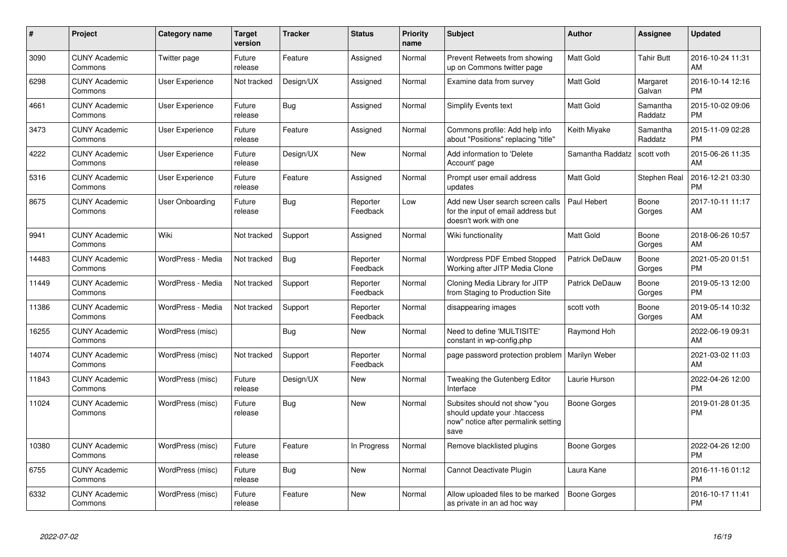| #     | <b>Project</b>                  | Category name          | <b>Target</b><br>version | <b>Tracker</b> | <b>Status</b>        | <b>Priority</b><br>name | <b>Subject</b>                                                                                               | <b>Author</b>    | Assignee            | <b>Updated</b>                |
|-------|---------------------------------|------------------------|--------------------------|----------------|----------------------|-------------------------|--------------------------------------------------------------------------------------------------------------|------------------|---------------------|-------------------------------|
| 3090  | <b>CUNY Academic</b><br>Commons | Twitter page           | Future<br>release        | Feature        | Assigned             | Normal                  | Prevent Retweets from showing<br>up on Commons twitter page                                                  | <b>Matt Gold</b> | Tahir Butt          | 2016-10-24 11:31<br>AM        |
| 6298  | <b>CUNY Academic</b><br>Commons | <b>User Experience</b> | Not tracked              | Design/UX      | Assigned             | Normal                  | Examine data from survey                                                                                     | <b>Matt Gold</b> | Margaret<br>Galvan  | 2016-10-14 12:16<br><b>PM</b> |
| 4661  | <b>CUNY Academic</b><br>Commons | <b>User Experience</b> | Future<br>release        | <b>Bug</b>     | Assigned             | Normal                  | <b>Simplify Events text</b>                                                                                  | <b>Matt Gold</b> | Samantha<br>Raddatz | 2015-10-02 09:06<br><b>PM</b> |
| 3473  | <b>CUNY Academic</b><br>Commons | <b>User Experience</b> | Future<br>release        | Feature        | Assigned             | Normal                  | Commons profile: Add help info<br>about "Positions" replacing "title"                                        | Keith Miyake     | Samantha<br>Raddatz | 2015-11-09 02:28<br><b>PM</b> |
| 4222  | <b>CUNY Academic</b><br>Commons | User Experience        | Future<br>release        | Design/UX      | <b>New</b>           | Normal                  | Add information to 'Delete<br>Account' page                                                                  | Samantha Raddatz | scott voth          | 2015-06-26 11:35<br>AM        |
| 5316  | <b>CUNY Academic</b><br>Commons | <b>User Experience</b> | Future<br>release        | Feature        | Assigned             | Normal                  | Prompt user email address<br>updates                                                                         | <b>Matt Gold</b> | Stephen Real        | 2016-12-21 03:30<br><b>PM</b> |
| 8675  | <b>CUNY Academic</b><br>Commons | <b>User Onboarding</b> | Future<br>release        | Bug            | Reporter<br>Feedback | Low                     | Add new User search screen calls<br>for the input of email address but<br>doesn't work with one              | Paul Hebert      | Boone<br>Gorges     | 2017-10-11 11:17<br>AM        |
| 9941  | <b>CUNY Academic</b><br>Commons | Wiki                   | Not tracked              | Support        | Assigned             | Normal                  | Wiki functionality                                                                                           | <b>Matt Gold</b> | Boone<br>Gorges     | 2018-06-26 10:57<br>AM        |
| 14483 | <b>CUNY Academic</b><br>Commons | WordPress - Media      | Not tracked              | Bug            | Reporter<br>Feedback | Normal                  | Wordpress PDF Embed Stopped<br>Working after JITP Media Clone                                                | Patrick DeDauw   | Boone<br>Gorges     | 2021-05-20 01:51<br><b>PM</b> |
| 11449 | <b>CUNY Academic</b><br>Commons | WordPress - Media      | Not tracked              | Support        | Reporter<br>Feedback | Normal                  | Cloning Media Library for JITP<br>from Staging to Production Site                                            | Patrick DeDauw   | Boone<br>Gorges     | 2019-05-13 12:00<br><b>PM</b> |
| 11386 | <b>CUNY Academic</b><br>Commons | WordPress - Media      | Not tracked              | Support        | Reporter<br>Feedback | Normal                  | disappearing images                                                                                          | scott voth       | Boone<br>Gorges     | 2019-05-14 10:32<br>AM        |
| 16255 | <b>CUNY Academic</b><br>Commons | WordPress (misc)       |                          | <b>Bug</b>     | New                  | Normal                  | Need to define 'MULTISITE'<br>constant in wp-config.php                                                      | Raymond Hoh      |                     | 2022-06-19 09:31<br>AM        |
| 14074 | <b>CUNY Academic</b><br>Commons | WordPress (misc)       | Not tracked              | Support        | Reporter<br>Feedback | Normal                  | page password protection problem                                                                             | Marilyn Weber    |                     | 2021-03-02 11:03<br>AM        |
| 11843 | <b>CUNY Academic</b><br>Commons | WordPress (misc)       | Future<br>release        | Design/UX      | New                  | Normal                  | Tweaking the Gutenberg Editor<br>Interface                                                                   | Laurie Hurson    |                     | 2022-04-26 12:00<br><b>PM</b> |
| 11024 | <b>CUNY Academic</b><br>Commons | WordPress (misc)       | Future<br>release        | <b>Bug</b>     | <b>New</b>           | Normal                  | Subsites should not show "you<br>should update your .htaccess<br>now" notice after permalink setting<br>save | Boone Gorges     |                     | 2019-01-28 01:35<br><b>PM</b> |
| 10380 | <b>CUNY Academic</b><br>Commons | WordPress (misc)       | Future<br>release        | Feature        | In Progress          | Normal                  | Remove blacklisted plugins                                                                                   | Boone Gorges     |                     | 2022-04-26 12:00<br><b>PM</b> |
| 6755  | <b>CUNY Academic</b><br>Commons | WordPress (misc)       | Future<br>release        | <b>Bug</b>     | <b>New</b>           | Normal                  | Cannot Deactivate Plugin                                                                                     | Laura Kane       |                     | 2016-11-16 01:12<br><b>PM</b> |
| 6332  | <b>CUNY Academic</b><br>Commons | WordPress (misc)       | Future<br>release        | Feature        | <b>New</b>           | Normal                  | Allow uploaded files to be marked<br>as private in an ad hoc way                                             | Boone Gorges     |                     | 2016-10-17 11:41<br><b>PM</b> |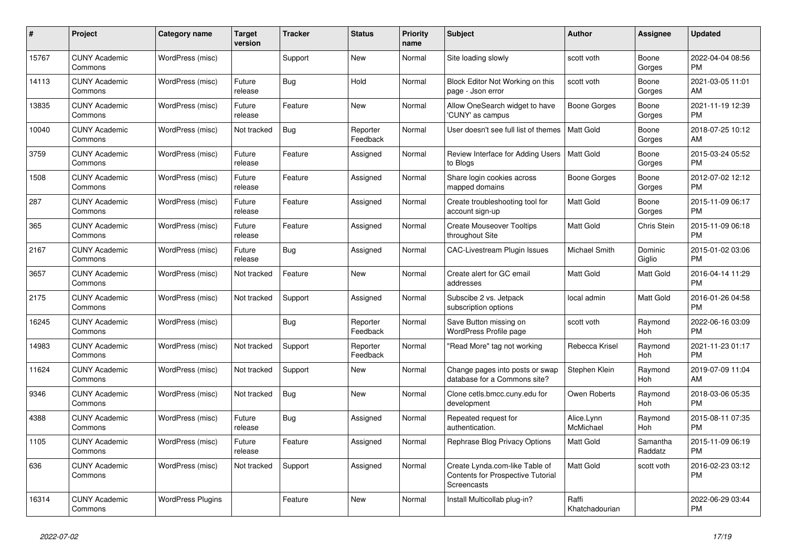| #     | Project                         | Category name            | <b>Target</b><br>version | <b>Tracker</b> | <b>Status</b>        | <b>Priority</b><br>name | <b>Subject</b>                                                                            | <b>Author</b>           | Assignee            | <b>Updated</b>                |
|-------|---------------------------------|--------------------------|--------------------------|----------------|----------------------|-------------------------|-------------------------------------------------------------------------------------------|-------------------------|---------------------|-------------------------------|
| 15767 | <b>CUNY Academic</b><br>Commons | WordPress (misc)         |                          | Support        | <b>New</b>           | Normal                  | Site loading slowly                                                                       | scott voth              | Boone<br>Gorges     | 2022-04-04 08:56<br><b>PM</b> |
| 14113 | <b>CUNY Academic</b><br>Commons | WordPress (misc)         | Future<br>release        | Bug            | Hold                 | Normal                  | Block Editor Not Working on this<br>page - Json error                                     | scott voth              | Boone<br>Gorges     | 2021-03-05 11:01<br>AM        |
| 13835 | <b>CUNY Academic</b><br>Commons | WordPress (misc)         | Future<br>release        | Feature        | New                  | Normal                  | Allow OneSearch widget to have<br>'CUNY' as campus                                        | Boone Gorges            | Boone<br>Gorges     | 2021-11-19 12:39<br><b>PM</b> |
| 10040 | <b>CUNY Academic</b><br>Commons | WordPress (misc)         | Not tracked              | <b>Bug</b>     | Reporter<br>Feedback | Normal                  | User doesn't see full list of themes                                                      | <b>Matt Gold</b>        | Boone<br>Gorges     | 2018-07-25 10:12<br>AM        |
| 3759  | <b>CUNY Academic</b><br>Commons | WordPress (misc)         | Future<br>release        | Feature        | Assigned             | Normal                  | Review Interface for Adding Users<br>to Blogs                                             | <b>Matt Gold</b>        | Boone<br>Gorges     | 2015-03-24 05:52<br><b>PM</b> |
| 1508  | <b>CUNY Academic</b><br>Commons | WordPress (misc)         | Future<br>release        | Feature        | Assigned             | Normal                  | Share login cookies across<br>mapped domains                                              | Boone Gorges            | Boone<br>Gorges     | 2012-07-02 12:12<br><b>PM</b> |
| 287   | <b>CUNY Academic</b><br>Commons | WordPress (misc)         | Future<br>release        | Feature        | Assigned             | Normal                  | Create troubleshooting tool for<br>account sign-up                                        | <b>Matt Gold</b>        | Boone<br>Gorges     | 2015-11-09 06:17<br><b>PM</b> |
| 365   | <b>CUNY Academic</b><br>Commons | WordPress (misc)         | Future<br>release        | Feature        | Assigned             | Normal                  | <b>Create Mouseover Tooltips</b><br>throughout Site                                       | <b>Matt Gold</b>        | Chris Stein         | 2015-11-09 06:18<br><b>PM</b> |
| 2167  | <b>CUNY Academic</b><br>Commons | WordPress (misc)         | Future<br>release        | Bug            | Assigned             | Normal                  | <b>CAC-Livestream Plugin Issues</b>                                                       | Michael Smith           | Dominic<br>Giglio   | 2015-01-02 03:06<br><b>PM</b> |
| 3657  | <b>CUNY Academic</b><br>Commons | WordPress (misc)         | Not tracked              | Feature        | <b>New</b>           | Normal                  | Create alert for GC email<br>addresses                                                    | Matt Gold               | Matt Gold           | 2016-04-14 11:29<br><b>PM</b> |
| 2175  | <b>CUNY Academic</b><br>Commons | WordPress (misc)         | Not tracked              | Support        | Assigned             | Normal                  | Subscibe 2 vs. Jetpack<br>subscription options                                            | local admin             | Matt Gold           | 2016-01-26 04:58<br><b>PM</b> |
| 16245 | <b>CUNY Academic</b><br>Commons | WordPress (misc)         |                          | Bug            | Reporter<br>Feedback | Normal                  | Save Button missing on<br><b>WordPress Profile page</b>                                   | scott voth              | Raymond<br>Hoh      | 2022-06-16 03:09<br><b>PM</b> |
| 14983 | <b>CUNY Academic</b><br>Commons | WordPress (misc)         | Not tracked              | Support        | Reporter<br>Feedback | Normal                  | "Read More" tag not working                                                               | Rebecca Krisel          | Raymond<br>Hoh      | 2021-11-23 01:17<br><b>PM</b> |
| 11624 | <b>CUNY Academic</b><br>Commons | WordPress (misc)         | Not tracked              | Support        | <b>New</b>           | Normal                  | Change pages into posts or swap<br>database for a Commons site?                           | Stephen Klein           | Raymond<br>Hoh      | 2019-07-09 11:04<br>AM        |
| 9346  | <b>CUNY Academic</b><br>Commons | WordPress (misc)         | Not tracked              | Bug            | <b>New</b>           | Normal                  | Clone cetls.bmcc.cuny.edu for<br>development                                              | Owen Roberts            | Raymond<br>Hoh      | 2018-03-06 05:35<br><b>PM</b> |
| 4388  | <b>CUNY Academic</b><br>Commons | WordPress (misc)         | Future<br>release        | Bug            | Assigned             | Normal                  | Repeated request for<br>authentication.                                                   | Alice.Lynn<br>McMichael | Raymond<br>Hoh      | 2015-08-11 07:35<br><b>PM</b> |
| 1105  | <b>CUNY Academic</b><br>Commons | WordPress (misc)         | Future<br>release        | Feature        | Assigned             | Normal                  | Rephrase Blog Privacy Options                                                             | <b>Matt Gold</b>        | Samantha<br>Raddatz | 2015-11-09 06:19<br><b>PM</b> |
| 636   | <b>CUNY Academic</b><br>Commons | WordPress (misc)         | Not tracked              | Support        | Assigned             | Normal                  | Create Lynda.com-like Table of<br><b>Contents for Prospective Tutorial</b><br>Screencasts | Matt Gold               | scott voth          | 2016-02-23 03:12<br><b>PM</b> |
| 16314 | <b>CUNY Academic</b><br>Commons | <b>WordPress Plugins</b> |                          | Feature        | <b>New</b>           | Normal                  | Install Multicollab plug-in?                                                              | Raffi<br>Khatchadourian |                     | 2022-06-29 03:44<br><b>PM</b> |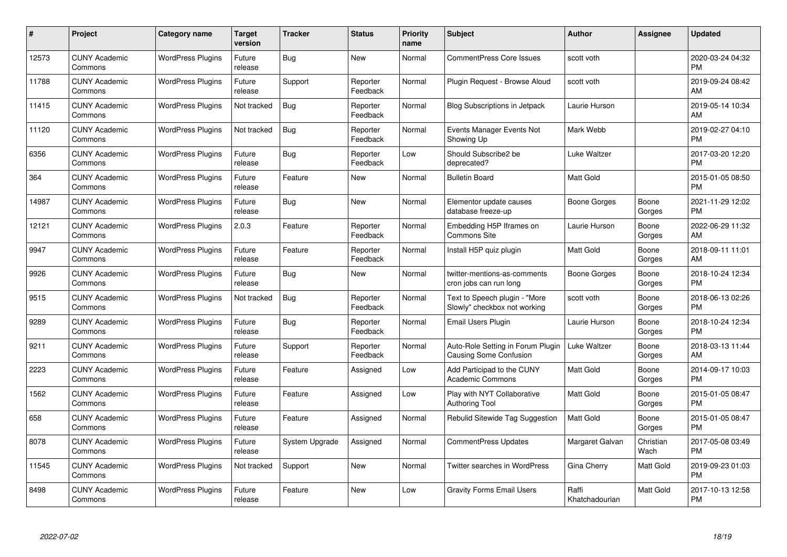| #     | Project                         | <b>Category name</b>     | <b>Target</b><br>version | <b>Tracker</b> | <b>Status</b>        | <b>Priority</b><br>name | <b>Subject</b>                                                     | <b>Author</b>           | <b>Assignee</b>   | <b>Updated</b>                |
|-------|---------------------------------|--------------------------|--------------------------|----------------|----------------------|-------------------------|--------------------------------------------------------------------|-------------------------|-------------------|-------------------------------|
| 12573 | <b>CUNY Academic</b><br>Commons | <b>WordPress Plugins</b> | Future<br>release        | Bug            | <b>New</b>           | Normal                  | <b>CommentPress Core Issues</b>                                    | scott voth              |                   | 2020-03-24 04:32<br><b>PM</b> |
| 11788 | <b>CUNY Academic</b><br>Commons | <b>WordPress Plugins</b> | Future<br>release        | Support        | Reporter<br>Feedback | Normal                  | Plugin Request - Browse Aloud                                      | scott voth              |                   | 2019-09-24 08:42<br>AM        |
| 11415 | <b>CUNY Academic</b><br>Commons | <b>WordPress Plugins</b> | Not tracked              | <b>Bug</b>     | Reporter<br>Feedback | Normal                  | <b>Blog Subscriptions in Jetpack</b>                               | Laurie Hurson           |                   | 2019-05-14 10:34<br>AM        |
| 11120 | <b>CUNY Academic</b><br>Commons | <b>WordPress Plugins</b> | Not tracked              | Bug            | Reporter<br>Feedback | Normal                  | Events Manager Events Not<br>Showing Up                            | Mark Webb               |                   | 2019-02-27 04:10<br><b>PM</b> |
| 6356  | <b>CUNY Academic</b><br>Commons | <b>WordPress Plugins</b> | Future<br>release        | <b>Bug</b>     | Reporter<br>Feedback | Low                     | Should Subscribe2 be<br>deprecated?                                | Luke Waltzer            |                   | 2017-03-20 12:20<br><b>PM</b> |
| 364   | <b>CUNY Academic</b><br>Commons | <b>WordPress Plugins</b> | Future<br>release        | Feature        | <b>New</b>           | Normal                  | <b>Bulletin Board</b>                                              | <b>Matt Gold</b>        |                   | 2015-01-05 08:50<br><b>PM</b> |
| 14987 | <b>CUNY Academic</b><br>Commons | <b>WordPress Plugins</b> | Future<br>release        | <b>Bug</b>     | New                  | Normal                  | Elementor update causes<br>database freeze-up                      | Boone Gorges            | Boone<br>Gorges   | 2021-11-29 12:02<br><b>PM</b> |
| 12121 | <b>CUNY Academic</b><br>Commons | <b>WordPress Plugins</b> | 2.0.3                    | Feature        | Reporter<br>Feedback | Normal                  | Embedding H5P Iframes on<br>Commons Site                           | Laurie Hurson           | Boone<br>Gorges   | 2022-06-29 11:32<br>AM        |
| 9947  | <b>CUNY Academic</b><br>Commons | <b>WordPress Plugins</b> | Future<br>release        | Feature        | Reporter<br>Feedback | Normal                  | Install H5P quiz plugin                                            | <b>Matt Gold</b>        | Boone<br>Gorges   | 2018-09-11 11:01<br>AM        |
| 9926  | <b>CUNY Academic</b><br>Commons | <b>WordPress Plugins</b> | Future<br>release        | Bug            | New                  | Normal                  | twitter-mentions-as-comments<br>cron jobs can run long             | Boone Gorges            | Boone<br>Gorges   | 2018-10-24 12:34<br><b>PM</b> |
| 9515  | <b>CUNY Academic</b><br>Commons | <b>WordPress Plugins</b> | Not tracked              | <b>Bug</b>     | Reporter<br>Feedback | Normal                  | Text to Speech plugin - "More<br>Slowly" checkbox not working      | scott voth              | Boone<br>Gorges   | 2018-06-13 02:26<br><b>PM</b> |
| 9289  | <b>CUNY Academic</b><br>Commons | <b>WordPress Plugins</b> | Future<br>release        | <b>Bug</b>     | Reporter<br>Feedback | Normal                  | Email Users Plugin                                                 | Laurie Hurson           | Boone<br>Gorges   | 2018-10-24 12:34<br><b>PM</b> |
| 9211  | <b>CUNY Academic</b><br>Commons | <b>WordPress Plugins</b> | Future<br>release        | Support        | Reporter<br>Feedback | Normal                  | Auto-Role Setting in Forum Plugin<br><b>Causing Some Confusion</b> | Luke Waltzer            | Boone<br>Gorges   | 2018-03-13 11:44<br>AM        |
| 2223  | <b>CUNY Academic</b><br>Commons | <b>WordPress Plugins</b> | Future<br>release        | Feature        | Assigned             | Low                     | Add Participad to the CUNY<br><b>Academic Commons</b>              | Matt Gold               | Boone<br>Gorges   | 2014-09-17 10:03<br><b>PM</b> |
| 1562  | <b>CUNY Academic</b><br>Commons | <b>WordPress Plugins</b> | Future<br>release        | Feature        | Assigned             | Low                     | Play with NYT Collaborative<br><b>Authoring Tool</b>               | <b>Matt Gold</b>        | Boone<br>Gorges   | 2015-01-05 08:47<br><b>PM</b> |
| 658   | <b>CUNY Academic</b><br>Commons | <b>WordPress Plugins</b> | Future<br>release        | Feature        | Assigned             | Normal                  | Rebulid Sitewide Tag Suggestion                                    | Matt Gold               | Boone<br>Gorges   | 2015-01-05 08:47<br><b>PM</b> |
| 8078  | <b>CUNY Academic</b><br>Commons | <b>WordPress Plugins</b> | Future<br>release        | System Upgrade | Assigned             | Normal                  | <b>CommentPress Updates</b>                                        | Margaret Galvan         | Christian<br>Wach | 2017-05-08 03:49<br><b>PM</b> |
| 11545 | <b>CUNY Academic</b><br>Commons | <b>WordPress Plugins</b> | Not tracked              | Support        | New                  | Normal                  | Twitter searches in WordPress                                      | Gina Cherry             | Matt Gold         | 2019-09-23 01:03<br><b>PM</b> |
| 8498  | <b>CUNY Academic</b><br>Commons | <b>WordPress Plugins</b> | Future<br>release        | Feature        | <b>New</b>           | Low                     | <b>Gravity Forms Email Users</b>                                   | Raffi<br>Khatchadourian | <b>Matt Gold</b>  | 2017-10-13 12:58<br>PM        |